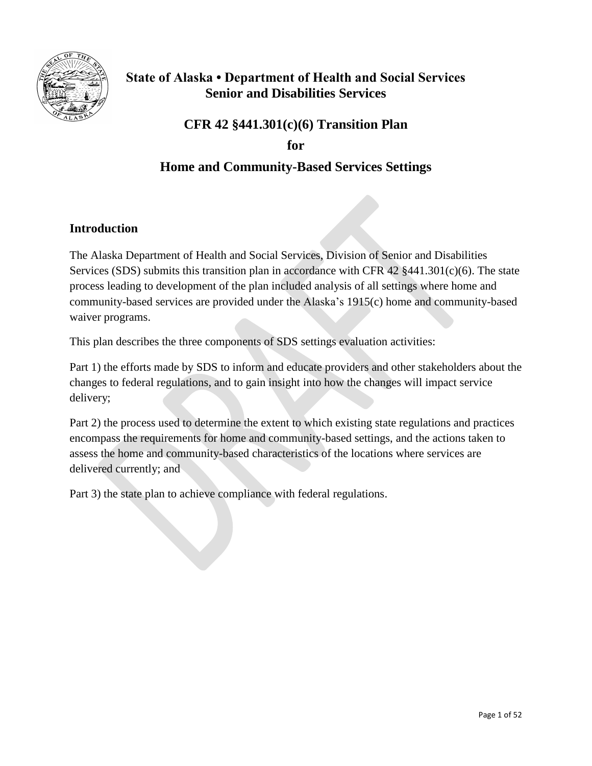

## **State of Alaska • Department of Health and Social Services Senior and Disabilities Services**

# **CFR 42 §441.301(c)(6) Transition Plan for**

## **Home and Community-Based Services Settings**

## **Introduction**

The Alaska Department of Health and Social Services, Division of Senior and Disabilities Services (SDS) submits this transition plan in accordance with CFR 42 §441.301(c)(6). The state process leading to development of the plan included analysis of all settings where home and community-based services are provided under the Alaska's 1915(c) home and community-based waiver programs.

This plan describes the three components of SDS settings evaluation activities:

Part 1) the efforts made by SDS to inform and educate providers and other stakeholders about the changes to federal regulations, and to gain insight into how the changes will impact service delivery;

Part 2) the process used to determine the extent to which existing state regulations and practices encompass the requirements for home and community-based settings, and the actions taken to assess the home and community-based characteristics of the locations where services are delivered currently; and

Part 3) the state plan to achieve compliance with federal regulations.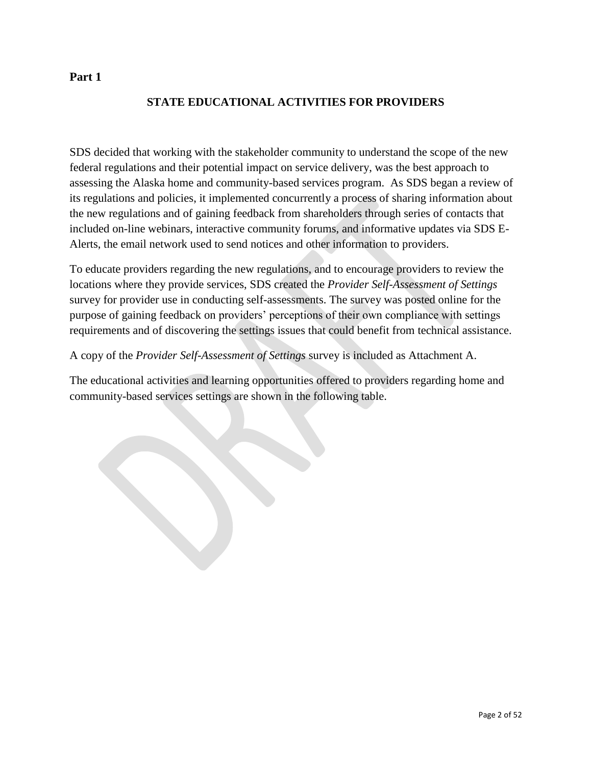## **Part 1**

## **STATE EDUCATIONAL ACTIVITIES FOR PROVIDERS**

SDS decided that working with the stakeholder community to understand the scope of the new federal regulations and their potential impact on service delivery, was the best approach to assessing the Alaska home and community-based services program. As SDS began a review of its regulations and policies, it implemented concurrently a process of sharing information about the new regulations and of gaining feedback from shareholders through series of contacts that included on-line webinars, interactive community forums, and informative updates via SDS E-Alerts, the email network used to send notices and other information to providers.

To educate providers regarding the new regulations, and to encourage providers to review the locations where they provide services, SDS created the *Provider Self-Assessment of Settings* survey for provider use in conducting self-assessments. The survey was posted online for the purpose of gaining feedback on providers' perceptions of their own compliance with settings requirements and of discovering the settings issues that could benefit from technical assistance.

A copy of the *Provider Self-Assessment of Settings* survey is included as Attachment A.

The educational activities and learning opportunities offered to providers regarding home and community-based services settings are shown in the following table.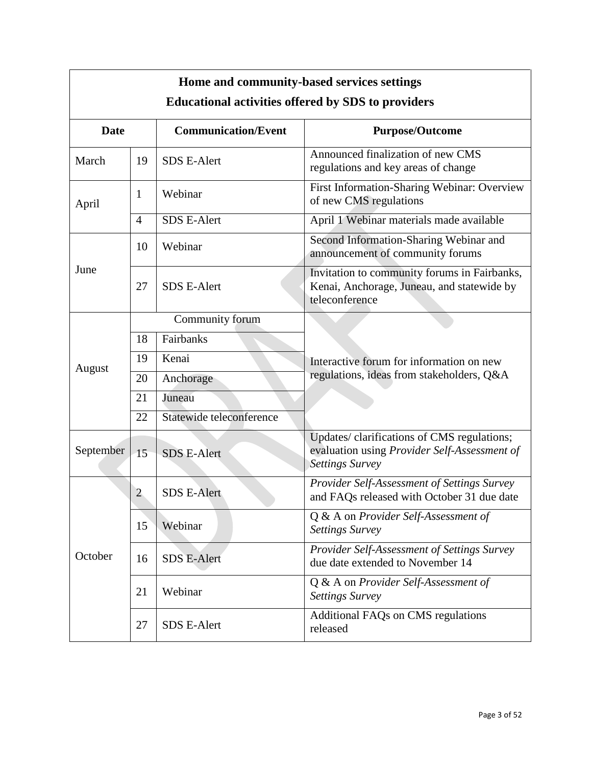| Home and community-based services settings<br><b>Educational activities offered by SDS to providers</b> |                |                            |                                                                                                                       |  |
|---------------------------------------------------------------------------------------------------------|----------------|----------------------------|-----------------------------------------------------------------------------------------------------------------------|--|
| <b>Date</b>                                                                                             |                | <b>Communication/Event</b> | <b>Purpose/Outcome</b>                                                                                                |  |
| March                                                                                                   | 19             | <b>SDS E-Alert</b>         | Announced finalization of new CMS<br>regulations and key areas of change                                              |  |
| April                                                                                                   | 1              | Webinar                    | First Information-Sharing Webinar: Overview<br>of new CMS regulations                                                 |  |
|                                                                                                         | $\overline{4}$ | <b>SDS E-Alert</b>         | April 1 Webinar materials made available                                                                              |  |
|                                                                                                         | 10             | Webinar                    | Second Information-Sharing Webinar and<br>announcement of community forums                                            |  |
| June                                                                                                    | 27             | <b>SDS E-Alert</b>         | Invitation to community forums in Fairbanks,<br>Kenai, Anchorage, Juneau, and statewide by<br>teleconference          |  |
|                                                                                                         |                | Community forum            |                                                                                                                       |  |
|                                                                                                         | 18             | Fairbanks                  |                                                                                                                       |  |
| August                                                                                                  | 19             | Kenai                      | Interactive forum for information on new                                                                              |  |
|                                                                                                         | 20             | Anchorage                  | regulations, ideas from stakeholders, Q&A                                                                             |  |
|                                                                                                         | 21             | Juneau                     |                                                                                                                       |  |
|                                                                                                         | 22             | Statewide teleconference   |                                                                                                                       |  |
| September                                                                                               | 15             | <b>SDS E-Alert</b>         | Updates/ clarifications of CMS regulations;<br>evaluation using Provider Self-Assessment of<br><b>Settings Survey</b> |  |
|                                                                                                         | $\overline{2}$ | <b>SDS E-Alert</b>         | Provider Self-Assessment of Settings Survey<br>and FAQs released with October 31 due date                             |  |
|                                                                                                         | 15             | Webinar                    | Q & A on Provider Self-Assessment of<br><b>Settings Survey</b>                                                        |  |
| October                                                                                                 | 16             | <b>SDS E-Alert</b>         | Provider Self-Assessment of Settings Survey<br>due date extended to November 14                                       |  |
|                                                                                                         | 21             | Webinar                    | Q & A on Provider Self-Assessment of<br><b>Settings Survey</b>                                                        |  |
|                                                                                                         | 27             | <b>SDS E-Alert</b>         | Additional FAQs on CMS regulations<br>released                                                                        |  |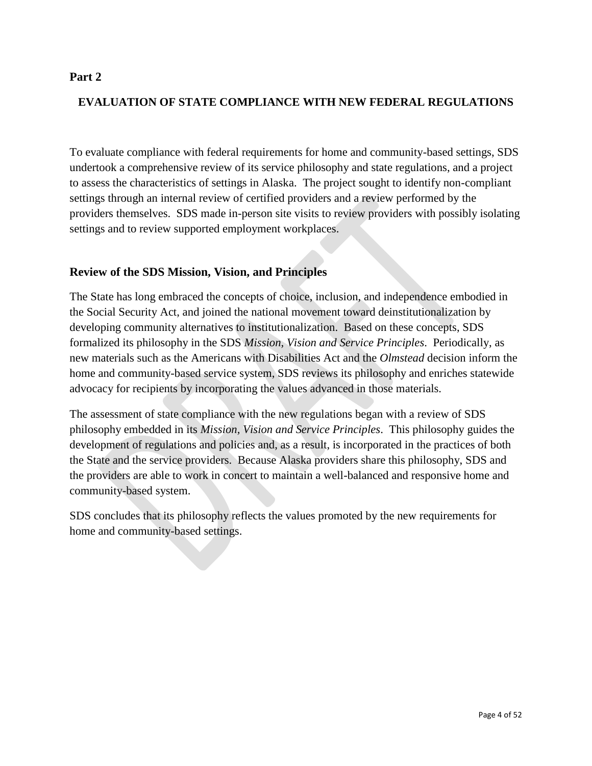## **Part 2**

## **EVALUATION OF STATE COMPLIANCE WITH NEW FEDERAL REGULATIONS**

To evaluate compliance with federal requirements for home and community-based settings, SDS undertook a comprehensive review of its service philosophy and state regulations, and a project to assess the characteristics of settings in Alaska. The project sought to identify non-compliant settings through an internal review of certified providers and a review performed by the providers themselves. SDS made in-person site visits to review providers with possibly isolating settings and to review supported employment workplaces.

## **Review of the SDS Mission, Vision, and Principles**

The State has long embraced the concepts of choice, inclusion, and independence embodied in the Social Security Act, and joined the national movement toward deinstitutionalization by developing community alternatives to institutionalization. Based on these concepts, SDS formalized its philosophy in the SDS *Mission, Vision and Service Principles*. Periodically, as new materials such as the Americans with Disabilities Act and the *Olmstead* decision inform the home and community-based service system, SDS reviews its philosophy and enriches statewide advocacy for recipients by incorporating the values advanced in those materials.

The assessment of state compliance with the new regulations began with a review of SDS philosophy embedded in its *Mission, Vision and Service Principles*. This philosophy guides the development of regulations and policies and, as a result, is incorporated in the practices of both the State and the service providers. Because Alaska providers share this philosophy, SDS and the providers are able to work in concert to maintain a well-balanced and responsive home and community-based system.

SDS concludes that its philosophy reflects the values promoted by the new requirements for home and community-based settings.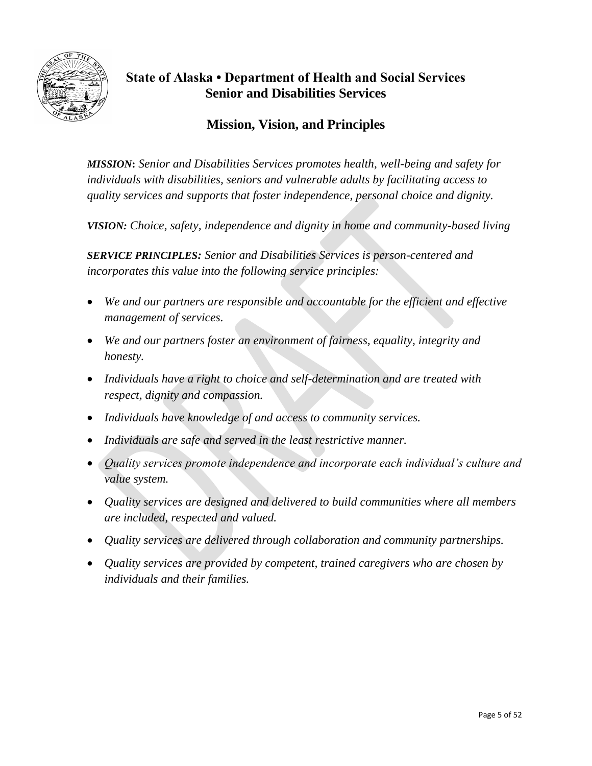

## **State of Alaska • Department of Health and Social Services Senior and Disabilities Services**

## **Mission, Vision, and Principles**

*MISSION***:** *Senior and Disabilities Services promotes health, well-being and safety for individuals with disabilities, seniors and vulnerable adults by facilitating access to quality services and supports that foster independence, personal choice and dignity.*

*VISION: Choice, safety, independence and dignity in home and community-based living*

*SERVICE PRINCIPLES: Senior and Disabilities Services is person-centered and incorporates this value into the following service principles:*

- *We and our partners are responsible and accountable for the efficient and effective management of services.*
- *We and our partners foster an environment of fairness, equality, integrity and honesty.*
- *Individuals have a right to choice and self-determination and are treated with respect, dignity and compassion.*
- *Individuals have knowledge of and access to community services.*
- *Individuals are safe and served in the least restrictive manner.*
- *Quality services promote independence and incorporate each individual's culture and value system.*
- *Quality services are designed and delivered to build communities where all members are included, respected and valued.*
- *Quality services are delivered through collaboration and community partnerships.*
- *Quality services are provided by competent, trained caregivers who are chosen by individuals and their families.*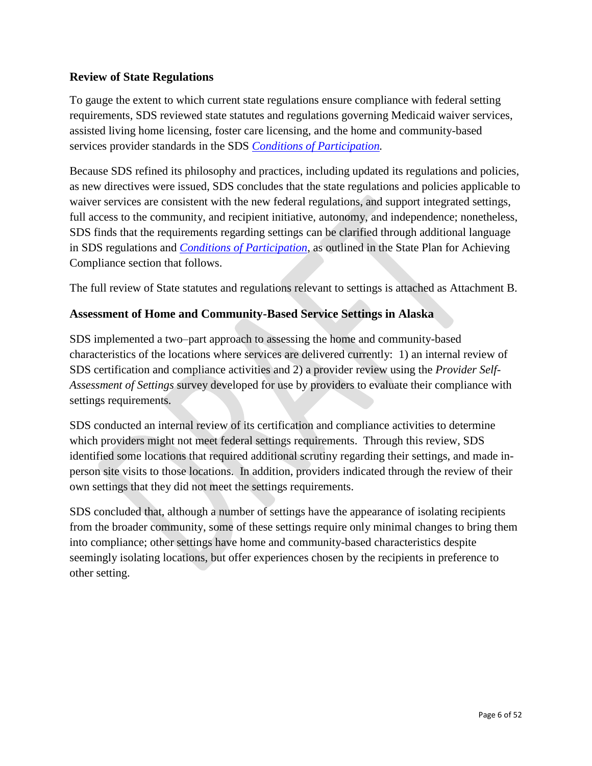## **Review of State Regulations**

To gauge the extent to which current state regulations ensure compliance with federal setting requirements, SDS reviewed state statutes and regulations governing Medicaid waiver services, assisted living home licensing, foster care licensing, and the home and community-based services provider standards in the SDS *[Conditions of Participation.](http://dhss.alaska.gov/dsds/Pages/regulationpackage.aspx)*

Because SDS refined its philosophy and practices, including updated its regulations and policies, as new directives were issued, SDS concludes that the state regulations and policies applicable to waiver services are consistent with the new federal regulations, and support integrated settings, full access to the community, and recipient initiative, autonomy, and independence; nonetheless, SDS finds that the requirements regarding settings can be clarified through additional language in SDS regulations and *[Conditions of Participation](http://dhss.alaska.gov/dsds/Pages/regulationpackage.aspx)*, as outlined in the State Plan for Achieving Compliance section that follows.

The full review of State statutes and regulations relevant to settings is attached as Attachment B.

## **Assessment of Home and Community-Based Service Settings in Alaska**

SDS implemented a two–part approach to assessing the home and community-based characteristics of the locations where services are delivered currently: 1) an internal review of SDS certification and compliance activities and 2) a provider review using the *Provider Self-Assessment of Settings* survey developed for use by providers to evaluate their compliance with settings requirements.

SDS conducted an internal review of its certification and compliance activities to determine which providers might not meet federal settings requirements. Through this review, SDS identified some locations that required additional scrutiny regarding their settings, and made inperson site visits to those locations. In addition, providers indicated through the review of their own settings that they did not meet the settings requirements.

SDS concluded that, although a number of settings have the appearance of isolating recipients from the broader community, some of these settings require only minimal changes to bring them into compliance; other settings have home and community-based characteristics despite seemingly isolating locations, but offer experiences chosen by the recipients in preference to other setting.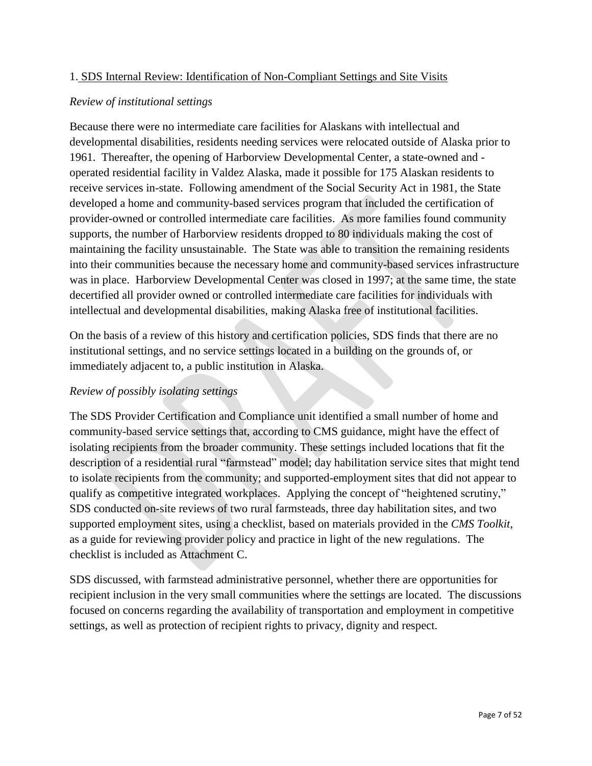## 1. SDS Internal Review: Identification of Non-Compliant Settings and Site Visits

## *Review of institutional settings*

Because there were no intermediate care facilities for Alaskans with intellectual and developmental disabilities, residents needing services were relocated outside of Alaska prior to 1961. Thereafter, the opening of Harborview Developmental Center, a state-owned and operated residential facility in Valdez Alaska, made it possible for 175 Alaskan residents to receive services in-state. Following amendment of the Social Security Act in 1981, the State developed a home and community-based services program that included the certification of provider-owned or controlled intermediate care facilities. As more families found community supports, the number of Harborview residents dropped to 80 individuals making the cost of maintaining the facility unsustainable. The State was able to transition the remaining residents into their communities because the necessary home and community-based services infrastructure was in place. Harborview Developmental Center was closed in 1997; at the same time, the state decertified all provider owned or controlled intermediate care facilities for individuals with intellectual and developmental disabilities, making Alaska free of institutional facilities.

On the basis of a review of this history and certification policies, SDS finds that there are no institutional settings, and no service settings located in a building on the grounds of, or immediately adjacent to, a public institution in Alaska.

## *Review of possibly isolating settings*

The SDS Provider Certification and Compliance unit identified a small number of home and community-based service settings that, according to CMS guidance, might have the effect of isolating recipients from the broader community. These settings included locations that fit the description of a residential rural "farmstead" model; day habilitation service sites that might tend to isolate recipients from the community; and supported-employment sites that did not appear to qualify as competitive integrated workplaces. Applying the concept of "heightened scrutiny," SDS conducted on-site reviews of two rural farmsteads, three day habilitation sites, and two supported employment sites, using a checklist, based on materials provided in the *CMS Toolkit*, as a guide for reviewing provider policy and practice in light of the new regulations. The checklist is included as Attachment C.

SDS discussed, with farmstead administrative personnel, whether there are opportunities for recipient inclusion in the very small communities where the settings are located. The discussions focused on concerns regarding the availability of transportation and employment in competitive settings, as well as protection of recipient rights to privacy, dignity and respect.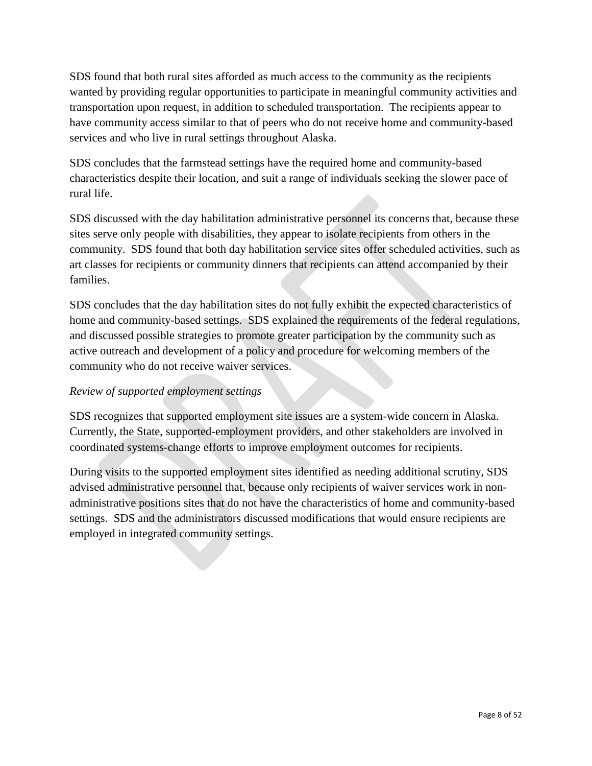SDS found that both rural sites afforded as much access to the community as the recipients wanted by providing regular opportunities to participate in meaningful community activities and transportation upon request, in addition to scheduled transportation. The recipients appear to have community access similar to that of peers who do not receive home and community-based services and who live in rural settings throughout Alaska.

SDS concludes that the farmstead settings have the required home and community-based characteristics despite their location, and suit a range of individuals seeking the slower pace of rural life.

SDS discussed with the day habilitation administrative personnel its concerns that, because these sites serve only people with disabilities, they appear to isolate recipients from others in the community. SDS found that both day habilitation service sites offer scheduled activities, such as art classes for recipients or community dinners that recipients can attend accompanied by their families.

SDS concludes that the day habilitation sites do not fully exhibit the expected characteristics of home and community-based settings. SDS explained the requirements of the federal regulations, and discussed possible strategies to promote greater participation by the community such as active outreach and development of a policy and procedure for welcoming members of the community who do not receive waiver services.

## *Review of supported employment settings*

SDS recognizes that supported employment site issues are a system-wide concern in Alaska. Currently, the State, supported-employment providers, and other stakeholders are involved in coordinated systems-change efforts to improve employment outcomes for recipients.

During visits to the supported employment sites identified as needing additional scrutiny, SDS advised administrative personnel that, because only recipients of waiver services work in nonadministrative positions sites that do not have the characteristics of home and community-based settings. SDS and the administrators discussed modifications that would ensure recipients are employed in integrated community settings.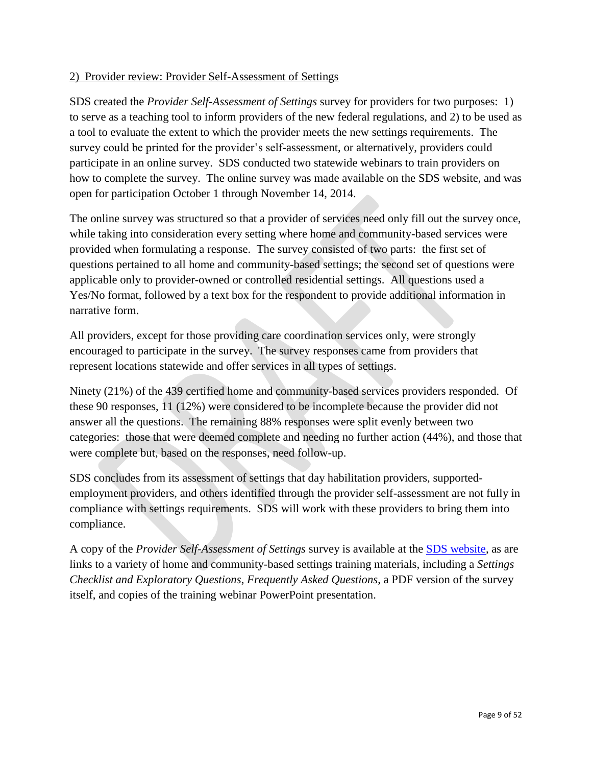## 2) Provider review: Provider Self-Assessment of Settings

SDS created the *Provider Self-Assessment of Settings* survey for providers for two purposes: 1) to serve as a teaching tool to inform providers of the new federal regulations, and 2) to be used as a tool to evaluate the extent to which the provider meets the new settings requirements. The survey could be printed for the provider's self-assessment, or alternatively, providers could participate in an online survey. SDS conducted two statewide webinars to train providers on how to complete the survey. The online survey was made available on the SDS website, and was open for participation October 1 through November 14, 2014.

The online survey was structured so that a provider of services need only fill out the survey once, while taking into consideration every setting where home and community-based services were provided when formulating a response. The survey consisted of two parts: the first set of questions pertained to all home and community-based settings; the second set of questions were applicable only to provider-owned or controlled residential settings. All questions used a Yes/No format, followed by a text box for the respondent to provide additional information in narrative form.

All providers, except for those providing care coordination services only, were strongly encouraged to participate in the survey. The survey responses came from providers that represent locations statewide and offer services in all types of settings.

Ninety (21%) of the 439 certified home and community-based services providers responded. Of these 90 responses, 11 (12%) were considered to be incomplete because the provider did not answer all the questions. The remaining 88% responses were split evenly between two categories: those that were deemed complete and needing no further action (44%), and those that were complete but, based on the responses, need follow-up.

SDS concludes from its assessment of settings that day habilitation providers, supportedemployment providers, and others identified through the provider self-assessment are not fully in compliance with settings requirements. SDS will work with these providers to bring them into compliance.

A copy of the *Provider Self-Assessment of Settings* survey is available at the [SDS website,](http://dhss.alaska.gov/dsds/Pages/default.aspx) as are links to a variety of home and community-based settings training materials, including a *Settings Checklist and Exploratory Questions*, *Frequently Asked Questions*, a PDF version of the survey itself, and copies of the training webinar PowerPoint presentation.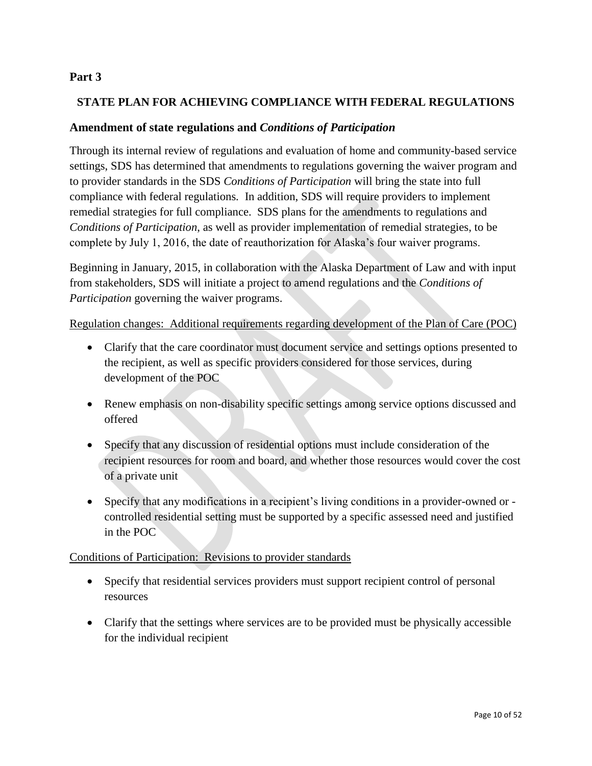## **Part 3**

## **STATE PLAN FOR ACHIEVING COMPLIANCE WITH FEDERAL REGULATIONS**

## **Amendment of state regulations and** *Conditions of Participation*

Through its internal review of regulations and evaluation of home and community-based service settings, SDS has determined that amendments to regulations governing the waiver program and to provider standards in the SDS *Conditions of Participation* will bring the state into full compliance with federal regulations*.* In addition, SDS will require providers to implement remedial strategies for full compliance. SDS plans for the amendments to regulations and *Conditions of Participation*, as well as provider implementation of remedial strategies, to be complete by July 1, 2016, the date of reauthorization for Alaska's four waiver programs.

Beginning in January, 2015, in collaboration with the Alaska Department of Law and with input from stakeholders, SDS will initiate a project to amend regulations and the *Conditions of Participation* governing the waiver programs.

### Regulation changes: Additional requirements regarding development of the Plan of Care (POC)

- Clarify that the care coordinator must document service and settings options presented to the recipient, as well as specific providers considered for those services, during development of the POC
- Renew emphasis on non-disability specific settings among service options discussed and offered
- Specify that any discussion of residential options must include consideration of the recipient resources for room and board, and whether those resources would cover the cost of a private unit
- Specify that any modifications in a recipient's living conditions in a provider-owned or controlled residential setting must be supported by a specific assessed need and justified in the POC

## Conditions of Participation: Revisions to provider standards

- Specify that residential services providers must support recipient control of personal resources
- Clarify that the settings where services are to be provided must be physically accessible for the individual recipient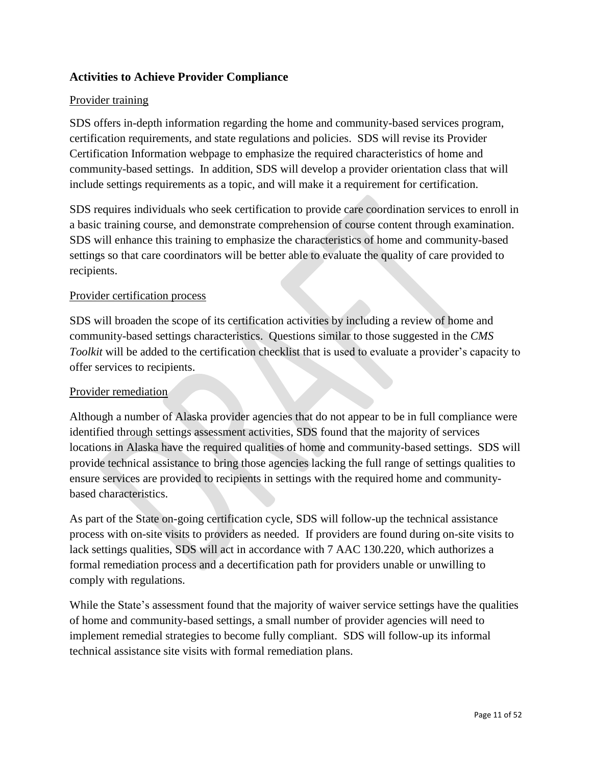## **Activities to Achieve Provider Compliance**

## Provider training

SDS offers in-depth information regarding the home and community-based services program, certification requirements, and state regulations and policies. SDS will revise its Provider Certification Information webpage to emphasize the required characteristics of home and community-based settings. In addition, SDS will develop a provider orientation class that will include settings requirements as a topic, and will make it a requirement for certification.

SDS requires individuals who seek certification to provide care coordination services to enroll in a basic training course, and demonstrate comprehension of course content through examination. SDS will enhance this training to emphasize the characteristics of home and community-based settings so that care coordinators will be better able to evaluate the quality of care provided to recipients.

## Provider certification process

SDS will broaden the scope of its certification activities by including a review of home and community-based settings characteristics. Questions similar to those suggested in the *CMS Toolkit* will be added to the certification checklist that is used to evaluate a provider's capacity to offer services to recipients.

## Provider remediation

Although a number of Alaska provider agencies that do not appear to be in full compliance were identified through settings assessment activities, SDS found that the majority of services locations in Alaska have the required qualities of home and community-based settings. SDS will provide technical assistance to bring those agencies lacking the full range of settings qualities to ensure services are provided to recipients in settings with the required home and communitybased characteristics.

As part of the State on-going certification cycle, SDS will follow-up the technical assistance process with on-site visits to providers as needed. If providers are found during on-site visits to lack settings qualities, SDS will act in accordance with 7 AAC 130.220, which authorizes a formal remediation process and a decertification path for providers unable or unwilling to comply with regulations.

While the State's assessment found that the majority of waiver service settings have the qualities of home and community-based settings, a small number of provider agencies will need to implement remedial strategies to become fully compliant. SDS will follow-up its informal technical assistance site visits with formal remediation plans.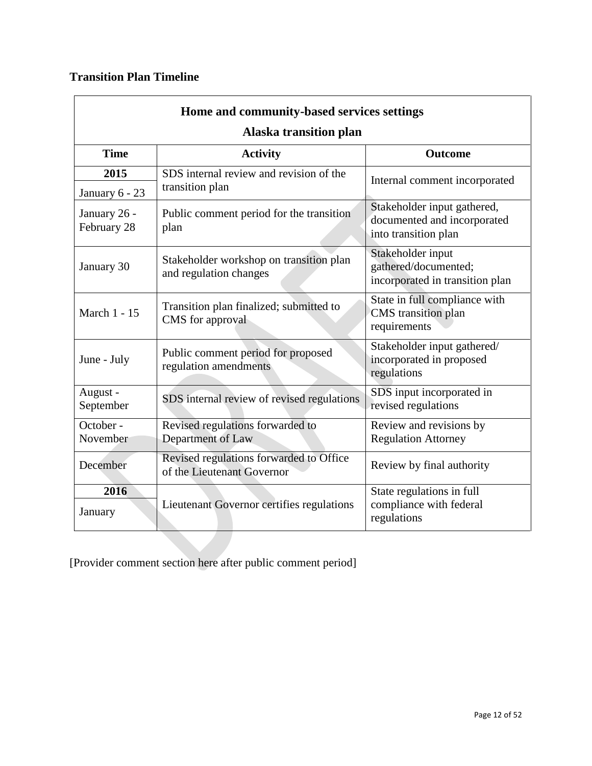## **Transition Plan Timeline**

| Home and community-based services settings |                                                                       |                                                                                    |  |  |  |
|--------------------------------------------|-----------------------------------------------------------------------|------------------------------------------------------------------------------------|--|--|--|
|                                            | <b>Alaska transition plan</b>                                         |                                                                                    |  |  |  |
| <b>Time</b>                                | <b>Activity</b>                                                       | Outcome                                                                            |  |  |  |
| 2015                                       | SDS internal review and revision of the                               | Internal comment incorporated                                                      |  |  |  |
| January 6 - 23                             | transition plan                                                       |                                                                                    |  |  |  |
| January 26 -<br>February 28                | Public comment period for the transition<br>plan                      | Stakeholder input gathered,<br>documented and incorporated<br>into transition plan |  |  |  |
| January 30                                 | Stakeholder workshop on transition plan<br>and regulation changes     | Stakeholder input<br>gathered/documented;<br>incorporated in transition plan       |  |  |  |
| March 1 - 15                               | Transition plan finalized; submitted to<br>CMS for approval           | State in full compliance with<br>CMS transition plan<br>requirements               |  |  |  |
| June - July                                | Public comment period for proposed<br>regulation amendments           | Stakeholder input gathered/<br>incorporated in proposed<br>regulations             |  |  |  |
| August -<br>September                      | SDS internal review of revised regulations                            | SDS input incorporated in<br>revised regulations                                   |  |  |  |
| October -<br>November                      | Revised regulations forwarded to<br>Department of Law                 | Review and revisions by<br><b>Regulation Attorney</b>                              |  |  |  |
| December                                   | Revised regulations forwarded to Office<br>of the Lieutenant Governor | Review by final authority                                                          |  |  |  |
| 2016<br>January                            | Lieutenant Governor certifies regulations                             | State regulations in full<br>compliance with federal<br>regulations                |  |  |  |

[Provider comment section here after public comment period]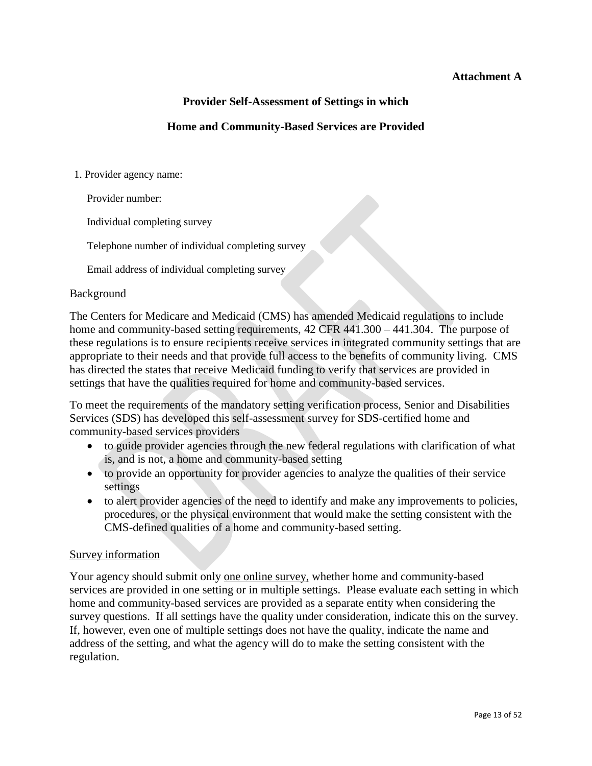## **Attachment A**

## **Provider Self-Assessment of Settings in which**

## **Home and Community-Based Services are Provided**

1. Provider agency name:

Provider number:

Individual completing survey

Telephone number of individual completing survey

Email address of individual completing survey

### Background

The Centers for Medicare and Medicaid (CMS) has amended Medicaid regulations to include home and community-based setting requirements, 42 CFR 441.300 – 441.304. The purpose of these regulations is to ensure recipients receive services in integrated community settings that are appropriate to their needs and that provide full access to the benefits of community living. CMS has directed the states that receive Medicaid funding to verify that services are provided in settings that have the qualities required for home and community-based services.

To meet the requirements of the mandatory setting verification process, Senior and Disabilities Services (SDS) has developed this self-assessment survey for SDS-certified home and community-based services providers

- to guide provider agencies through the new federal regulations with clarification of what is, and is not, a home and community-based setting
- to provide an opportunity for provider agencies to analyze the qualities of their service settings
- to alert provider agencies of the need to identify and make any improvements to policies, procedures, or the physical environment that would make the setting consistent with the CMS-defined qualities of a home and community-based setting.

### Survey information

Your agency should submit only one online survey, whether home and community-based services are provided in one setting or in multiple settings. Please evaluate each setting in which home and community-based services are provided as a separate entity when considering the survey questions. If all settings have the quality under consideration, indicate this on the survey. If, however, even one of multiple settings does not have the quality, indicate the name and address of the setting, and what the agency will do to make the setting consistent with the regulation.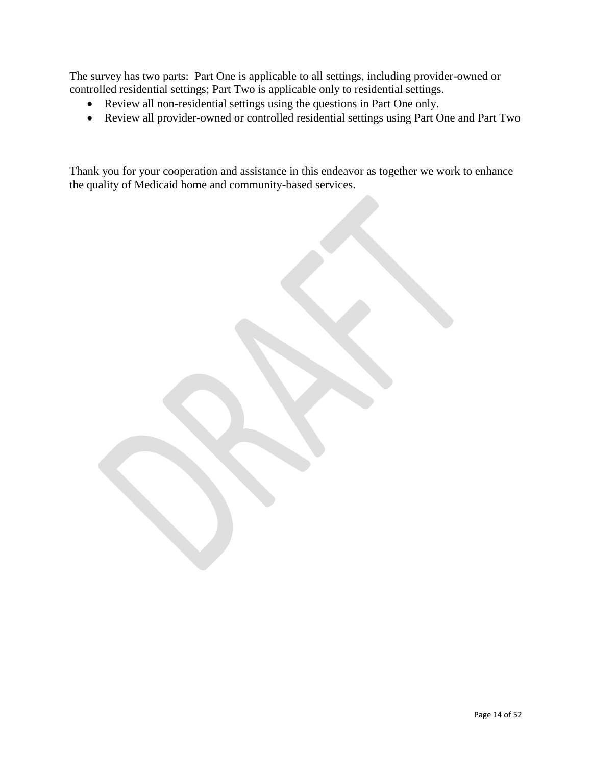The survey has two parts: Part One is applicable to all settings, including provider-owned or controlled residential settings; Part Two is applicable only to residential settings.

- Review all non-residential settings using the questions in Part One only.
- Review all provider-owned or controlled residential settings using Part One and Part Two

Thank you for your cooperation and assistance in this endeavor as together we work to enhance the quality of Medicaid home and community-based services.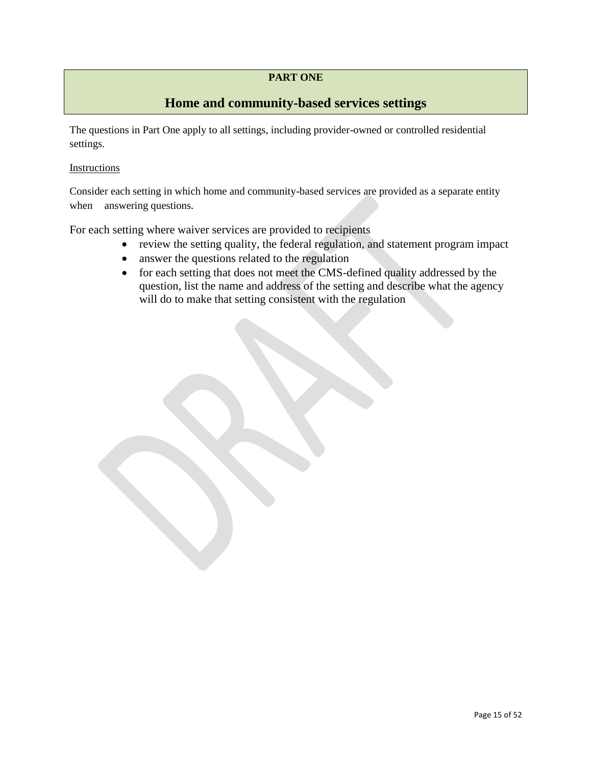## **PART ONE**

## **Home and community-based services settings**

The questions in Part One apply to all settings, including provider-owned or controlled residential settings.

### **Instructions**

Consider each setting in which home and community-based services are provided as a separate entity when answering questions.

For each setting where waiver services are provided to recipients

- review the setting quality, the federal regulation, and statement program impact
- answer the questions related to the regulation
- for each setting that does not meet the CMS-defined quality addressed by the question, list the name and address of the setting and describe what the agency will do to make that setting consistent with the regulation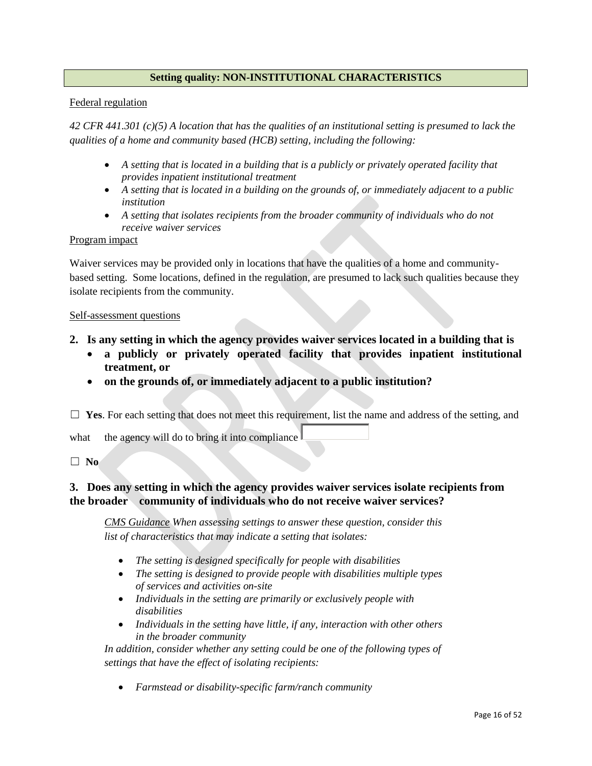## **Setting quality: NON-INSTITUTIONAL CHARACTERISTICS**

### Federal regulation

*42 CFR 441.301 (c)(5) A location that has the qualities of an institutional setting is presumed to lack the qualities of a home and community based (HCB) setting, including the following:*

- *A setting that is located in a building that is a publicly or privately operated facility that provides inpatient institutional treatment*
- *A setting that is located in a building on the grounds of, or immediately adjacent to a public institution*
- *A setting that isolates recipients from the broader community of individuals who do not receive waiver services*

### Program impact

Waiver services may be provided only in locations that have the qualities of a home and communitybased setting. Some locations, defined in the regulation, are presumed to lack such qualities because they isolate recipients from the community.

#### Self-assessment questions

- **2. Is any setting in which the agency provides waiver services located in a building that is**
	- **a publicly or privately operated facility that provides inpatient institutional treatment, or**
	- **on the grounds of, or immediately adjacent to a public institution?**

☐ **Yes**. For each setting that does not meet this requirement, list the name and address of the setting, and

what the agency will do to bring it into compliance

☐ **No**

## **3. Does any setting in which the agency provides waiver services isolate recipients from the broader community of individuals who do not receive waiver services?**

*CMS Guidance When assessing settings to answer these question, consider this list of characteristics that may indicate a setting that isolates:*

- *The setting is designed specifically for people with disabilities*
- *The setting is designed to provide people with disabilities multiple types of services and activities on-site*
- *Individuals in the setting are primarily or exclusively people with disabilities*
- *Individuals in the setting have little, if any, interaction with other others in the broader community*

In addition, consider whether any setting could be one of the following types of *settings that have the effect of isolating recipients:*

*Farmstead or disability-specific farm/ranch community*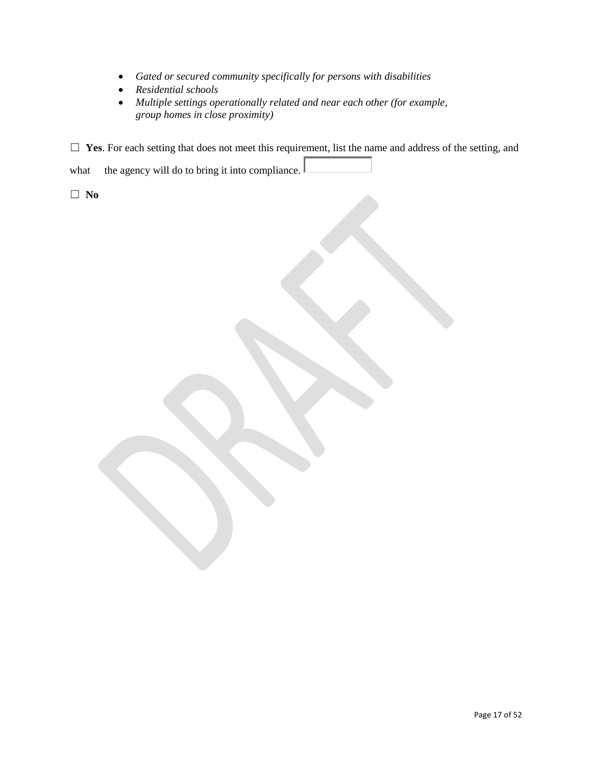- *Gated or secured community specifically for persons with disabilities*
- *Residential schools*
- *Multiple settings operationally related and near each other (for example, group homes in close proximity)*

□ Yes. For each setting that does not meet this requirement, list the name and address of the setting, and

what the agency will do to bring it into compliance.

☐ **No**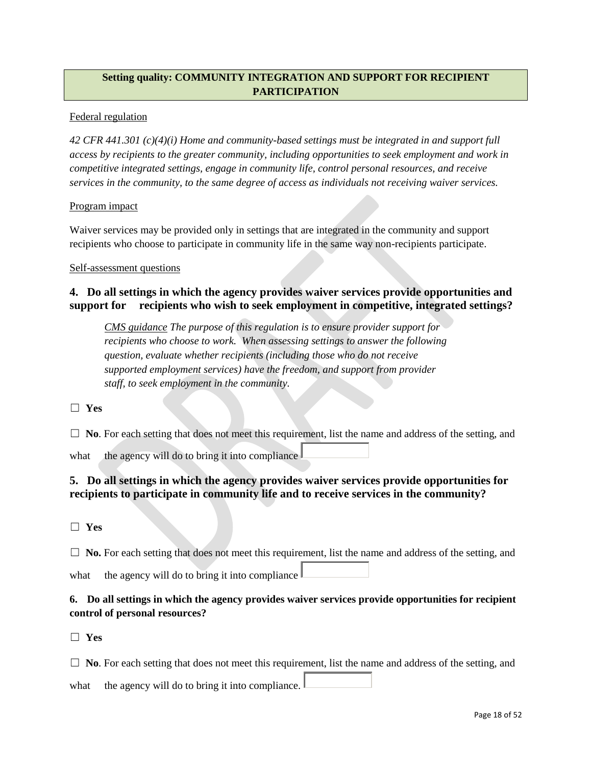## **Setting quality: COMMUNITY INTEGRATION AND SUPPORT FOR RECIPIENT PARTICIPATION**

### Federal regulation

*42 CFR 441.301 (c)(4)(i) Home and community-based settings must be integrated in and support full access by recipients to the greater community, including opportunities to seek employment and work in competitive integrated settings, engage in community life, control personal resources, and receive services in the community, to the same degree of access as individuals not receiving waiver services.* 

### Program impact

Waiver services may be provided only in settings that are integrated in the community and support recipients who choose to participate in community life in the same way non-recipients participate.

### Self-assessment questions

## **4. Do all settings in which the agency provides waiver services provide opportunities and support for recipients who wish to seek employment in competitive, integrated settings?**

*CMS guidance The purpose of this regulation is to ensure provider support for recipients who choose to work. When assessing settings to answer the following question, evaluate whether recipients (including those who do not receive supported employment services) have the freedom, and support from provider staff, to seek employment in the community.*

☐ **Yes**

□ **No**. For each setting that does not meet this requirement, list the name and address of the setting, and

what the agency will do to bring it into compliance

## **5. Do all settings in which the agency provides waiver services provide opportunities for recipients to participate in community life and to receive services in the community?**

☐ **Yes**

□ **No.** For each setting that does not meet this requirement, list the name and address of the setting, and what the agency will do to bring it into compliance

## **6. Do all settings in which the agency provides waiver services provide opportunities for recipient control of personal resources?**

☐ **Yes**

□ **No**. For each setting that does not meet this requirement, list the name and address of the setting, and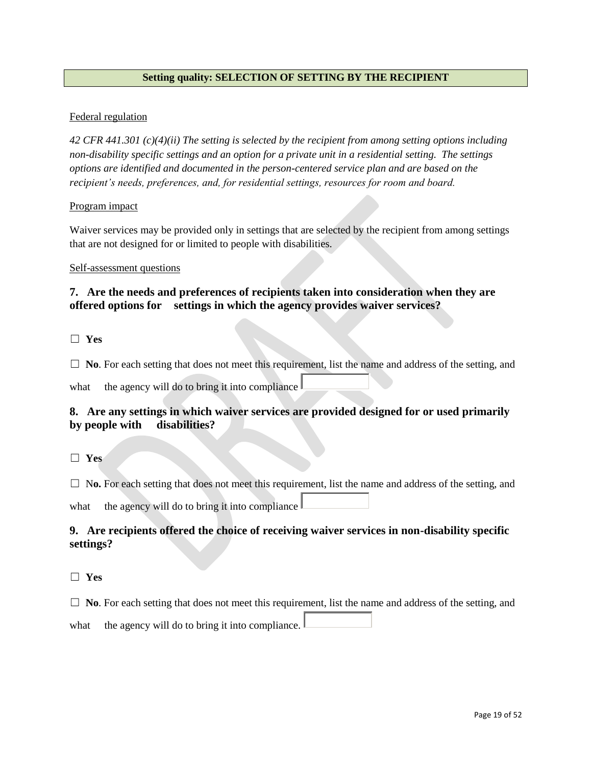## **Setting quality: SELECTION OF SETTING BY THE RECIPIENT**

### Federal regulation

*42 CFR 441.301 (c)(4)(ii) The setting is selected by the recipient from among setting options including non-disability specific settings and an option for a private unit in a residential setting. The settings options are identified and documented in the person-centered service plan and are based on the recipient's needs, preferences, and, for residential settings, resources for room and board.*

### Program impact

Waiver services may be provided only in settings that are selected by the recipient from among settings that are not designed for or limited to people with disabilities.

### Self-assessment questions

## **7. Are the needs and preferences of recipients taken into consideration when they are offered options for settings in which the agency provides waiver services?**

☐ **Yes**

□ **No**. For each setting that does not meet this requirement, list the name and address of the setting, and

what the agency will do to bring it into compliance

## **8. Are any settings in which waiver services are provided designed for or used primarily by people with disabilities?**

☐ **Yes**

□ No. For each setting that does not meet this requirement, list the name and address of the setting, and

what the agency will do to bring it into compliance  $\parallel$ 

## **9. Are recipients offered the choice of receiving waiver services in non-disability specific settings?**

### ☐ **Yes**

□ **No**. For each setting that does not meet this requirement, list the name and address of the setting, and what the agency will do to bring it into compliance.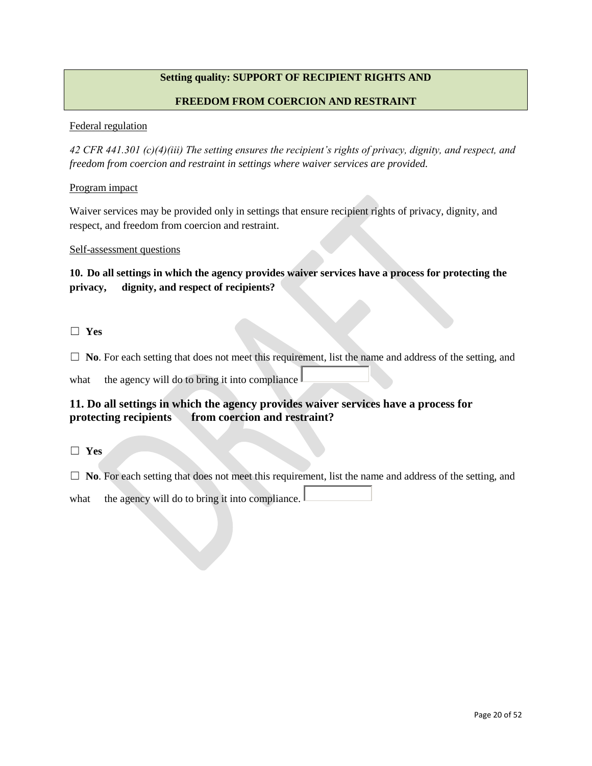## **Setting quality: SUPPORT OF RECIPIENT RIGHTS AND**

### **FREEDOM FROM COERCION AND RESTRAINT**

#### Federal regulation

*42 CFR 441.301 (c)(4)(iii) The setting ensures the recipient's rights of privacy, dignity, and respect, and freedom from coercion and restraint in settings where waiver services are provided.*

#### Program impact

Waiver services may be provided only in settings that ensure recipient rights of privacy, dignity, and respect, and freedom from coercion and restraint.

### Self-assessment questions

## **10. Do all settings in which the agency provides waiver services have a process for protecting the privacy, dignity, and respect of recipients?**

### ☐ **Yes**

□ **No**. For each setting that does not meet this requirement, list the name and address of the setting, and

what the agency will do to bring it into compliance

## **11. Do all settings in which the agency provides waiver services have a process for protecting recipients from coercion and restraint?**

☐ **Yes**

□ **No**. For each setting that does not meet this requirement, list the name and address of the setting, and what the agency will do to bring it into compliance.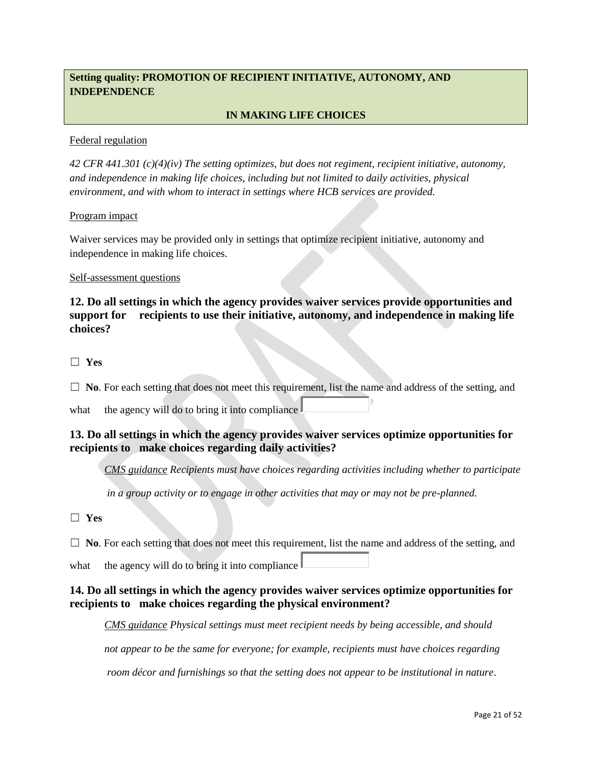## **Setting quality: PROMOTION OF RECIPIENT INITIATIVE, AUTONOMY, AND INDEPENDENCE**

## **IN MAKING LIFE CHOICES**

### Federal regulation

*42 CFR 441.301 (c)(4)(iv) The setting optimizes, but does not regiment, recipient initiative, autonomy, and independence in making life choices, including but not limited to daily activities, physical environment, and with whom to interact in settings where HCB services are provided.*

### Program impact

Waiver services may be provided only in settings that optimize recipient initiative, autonomy and independence in making life choices.

### Self-assessment questions

**12. Do all settings in which the agency provides waiver services provide opportunities and support for recipients to use their initiative, autonomy, and independence in making life choices?** 

☐ **Yes**

□ **No**. For each setting that does not meet this requirement, list the name and address of the setting, and

what the agency will do to bring it into compliance

## **13. Do all settings in which the agency provides waiver services optimize opportunities for recipients to make choices regarding daily activities?**

*CMS guidance Recipients must have choices regarding activities including whether to participate*

*in a group activity or to engage in other activities that may or may not be pre-planned.*

☐ **Yes**

□ **No**. For each setting that does not meet this requirement, list the name and address of the setting, and

what the agency will do to bring it into compliance  $\mathbb L$ 

## **14. Do all settings in which the agency provides waiver services optimize opportunities for recipients to make choices regarding the physical environment?**

*CMS guidance Physical settings must meet recipient needs by being accessible, and should* 

*not appear to be the same for everyone; for example, recipients must have choices regarding*

*room décor and furnishings so that the setting does not appear to be institutional in nature*.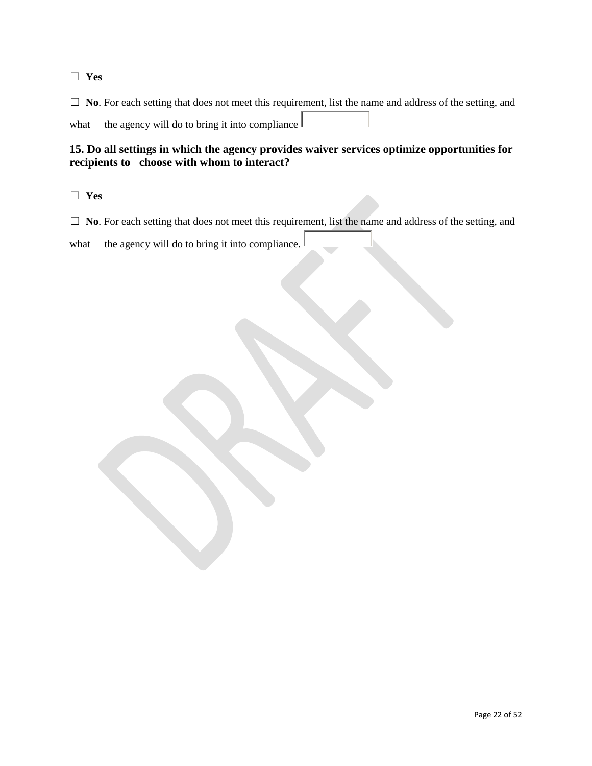### ☐ **Yes**

□ **No**. For each setting that does not meet this requirement, list the name and address of the setting, and what the agency will do to bring it into compliance

## **15. Do all settings in which the agency provides waiver services optimize opportunities for recipients to choose with whom to interact?**

☐ **Yes**

□ **No**. For each setting that does not meet this requirement, list the name and address of the setting, and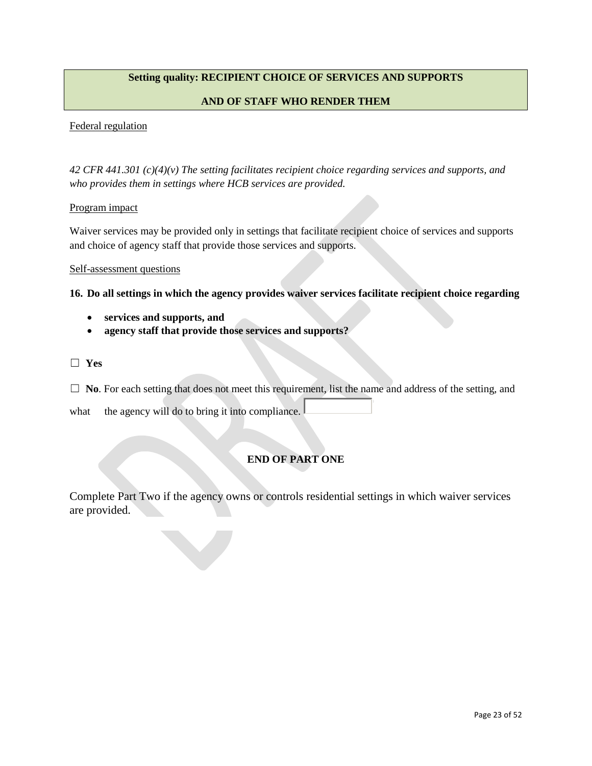## **Setting quality: RECIPIENT CHOICE OF SERVICES AND SUPPORTS**

### **AND OF STAFF WHO RENDER THEM**

#### Federal regulation

*42 CFR 441.301 (c)(4)(v) The setting facilitates recipient choice regarding services and supports, and who provides them in settings where HCB services are provided.*

#### Program impact

Waiver services may be provided only in settings that facilitate recipient choice of services and supports and choice of agency staff that provide those services and supports.

#### Self-assessment questions

**16. Do all settings in which the agency provides waiver services facilitate recipient choice regarding** 

- **services and supports, and**
- **agency staff that provide those services and supports?**

### ☐ **Yes**

□ **No**. For each setting that does not meet this requirement, list the name and address of the setting, and

what the agency will do to bring it into compliance.

## **END OF PART ONE**

Complete Part Two if the agency owns or controls residential settings in which waiver services are provided.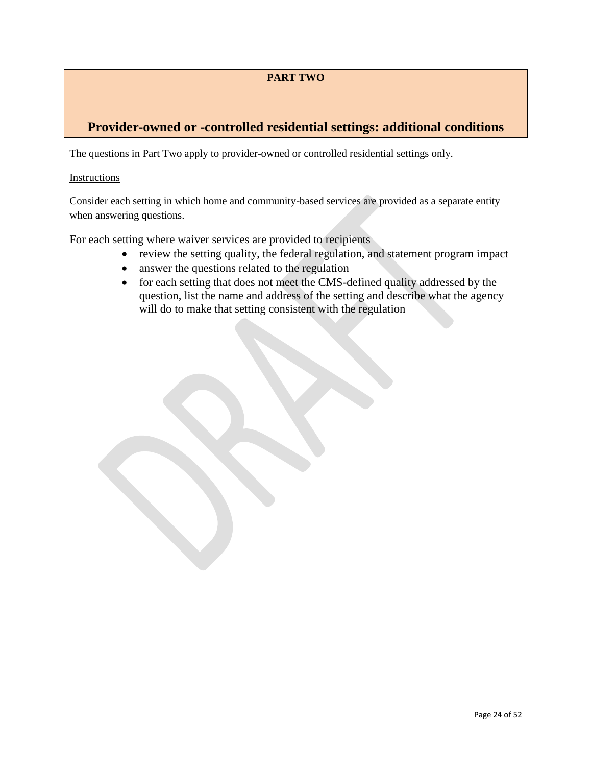## **PART TWO**

## **Provider-owned or -controlled residential settings: additional conditions**

The questions in Part Two apply to provider-owned or controlled residential settings only.

### Instructions

Consider each setting in which home and community-based services are provided as a separate entity when answering questions.

For each setting where waiver services are provided to recipients

- review the setting quality, the federal regulation, and statement program impact
- answer the questions related to the regulation
- for each setting that does not meet the CMS-defined quality addressed by the question, list the name and address of the setting and describe what the agency will do to make that setting consistent with the regulation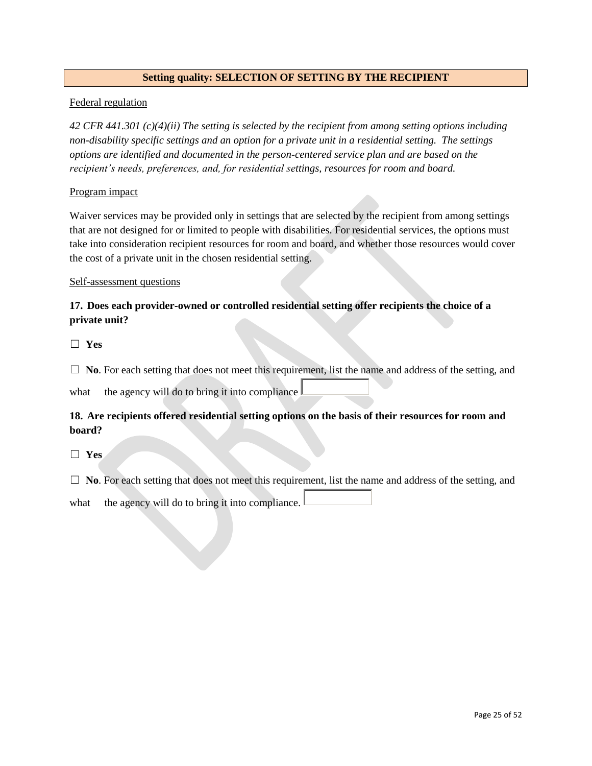### **Setting quality: SELECTION OF SETTING BY THE RECIPIENT**

### Federal regulation

*42 CFR 441.301 (c)(4)(ii) The setting is selected by the recipient from among setting options including non-disability specific settings and an option for a private unit in a residential setting. The settings options are identified and documented in the person-centered service plan and are based on the recipient's needs, preferences, and, for residential settings, resources for room and board.*

### Program impact

Waiver services may be provided only in settings that are selected by the recipient from among settings that are not designed for or limited to people with disabilities. For residential services, the options must take into consideration recipient resources for room and board, and whether those resources would cover the cost of a private unit in the chosen residential setting.

### Self-assessment questions

## **17. Does each provider-owned or controlled residential setting offer recipients the choice of a private unit?**

☐ **Yes**

□ **No**. For each setting that does not meet this requirement, list the name and address of the setting, and

what the agency will do to bring it into compliance  $\parallel$ 

## **18. Are recipients offered residential setting options on the basis of their resources for room and board?**

☐ **Yes**

□ **No**. For each setting that does not meet this requirement, list the name and address of the setting, and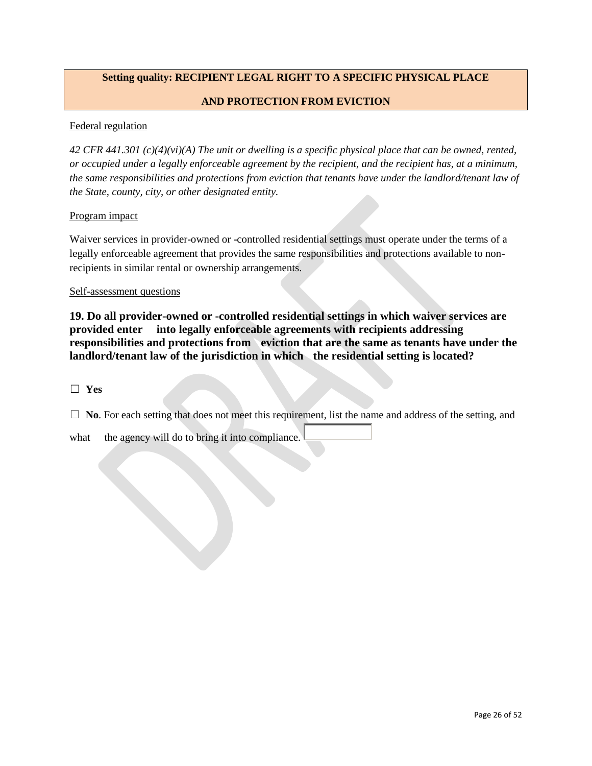## **Setting quality: RECIPIENT LEGAL RIGHT TO A SPECIFIC PHYSICAL PLACE**

### **AND PROTECTION FROM EVICTION**

### Federal regulation

*42 CFR 441.301 (c)(4)(vi)(A) The unit or dwelling is a specific physical place that can be owned, rented, or occupied under a legally enforceable agreement by the recipient, and the recipient has, at a minimum, the same responsibilities and protections from eviction that tenants have under the landlord/tenant law of the State, county, city, or other designated entity.*

#### Program impact

Waiver services in provider-owned or -controlled residential settings must operate under the terms of a legally enforceable agreement that provides the same responsibilities and protections available to nonrecipients in similar rental or ownership arrangements.

#### Self-assessment questions

**19. Do all provider-owned or -controlled residential settings in which waiver services are provided enter into legally enforceable agreements with recipients addressing responsibilities and protections from eviction that are the same as tenants have under the landlord/tenant law of the jurisdiction in which the residential setting is located?**

☐ **Yes**

□ **No**. For each setting that does not meet this requirement, list the name and address of the setting, and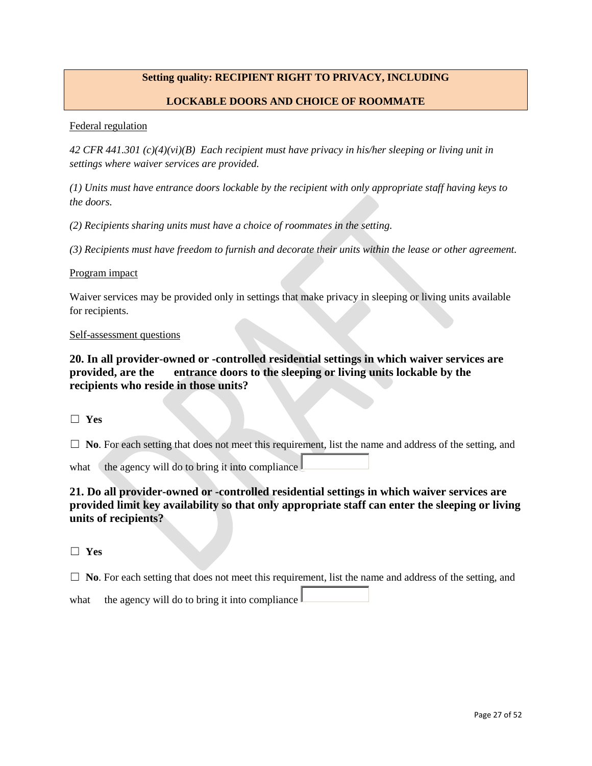## **Setting quality: RECIPIENT RIGHT TO PRIVACY, INCLUDING**

### **LOCKABLE DOORS AND CHOICE OF ROOMMATE**

#### Federal regulation

*42 CFR 441.301 (c)(4)(vi)(B) Each recipient must have privacy in his/her sleeping or living unit in settings where waiver services are provided.*

*(1) Units must have entrance doors lockable by the recipient with only appropriate staff having keys to the doors.*

*(2) Recipients sharing units must have a choice of roommates in the setting.*

*(3) Recipients must have freedom to furnish and decorate their units within the lease or other agreement.*

#### Program impact

Waiver services may be provided only in settings that make privacy in sleeping or living units available for recipients.

### Self-assessment questions

**20. In all provider-owned or -controlled residential settings in which waiver services are provided, are the entrance doors to the sleeping or living units lockable by the recipients who reside in those units?**

☐ **Yes**

□ **No**. For each setting that does not meet this requirement, list the name and address of the setting, and

what the agency will do to bring it into compliance  $\mathbf \mathbf I$ 

## **21. Do all provider-owned or -controlled residential settings in which waiver services are provided limit key availability so that only appropriate staff can enter the sleeping or living units of recipients?**

☐ **Yes**

□ **No**. For each setting that does not meet this requirement, list the name and address of the setting, and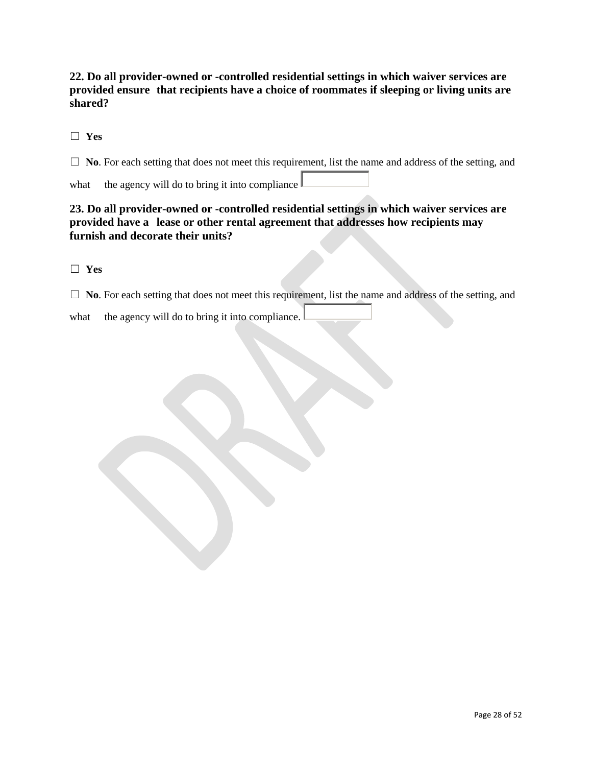**22. Do all provider-owned or -controlled residential settings in which waiver services are provided ensure that recipients have a choice of roommates if sleeping or living units are shared?**

☐ **Yes**

□ **No**. For each setting that does not meet this requirement, list the name and address of the setting, and

what the agency will do to bring it into compliance  $\vert$ 

## **23. Do all provider-owned or -controlled residential settings in which waiver services are provided have a lease or other rental agreement that addresses how recipients may furnish and decorate their units?**

☐ **Yes**

□ **No**. For each setting that does not meet this requirement, list the name and address of the setting, and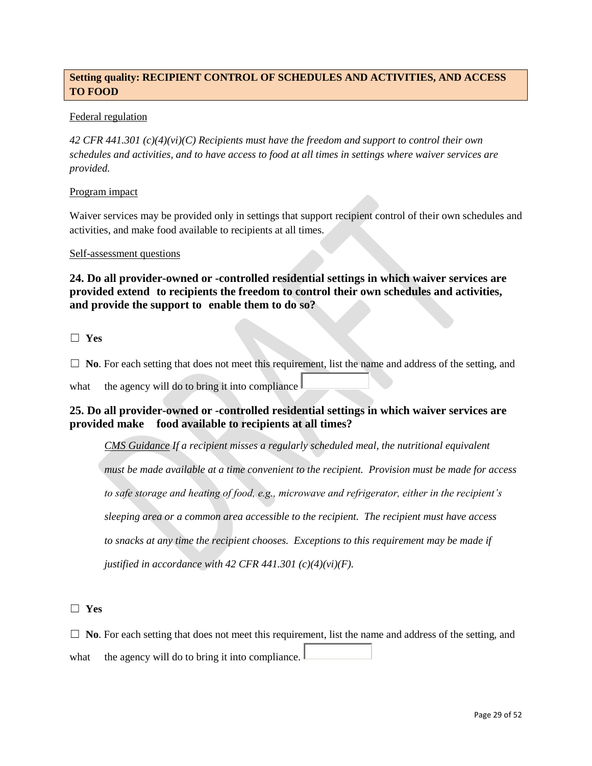## **Setting quality: RECIPIENT CONTROL OF SCHEDULES AND ACTIVITIES, AND ACCESS TO FOOD**

### Federal regulation

*42 CFR 441.301 (c)(4)(vi)(C) Recipients must have the freedom and support to control their own schedules and activities, and to have access to food at all times in settings where waiver services are provided.*

### Program impact

Waiver services may be provided only in settings that support recipient control of their own schedules and activities, and make food available to recipients at all times.

### Self-assessment questions

**24. Do all provider-owned or -controlled residential settings in which waiver services are provided extend to recipients the freedom to control their own schedules and activities, and provide the support to enable them to do so?**

☐ **Yes**

□ **No**. For each setting that does not meet this requirement, list the name and address of the setting, and

what the agency will do to bring it into compliance

## **25. Do all provider-owned or -controlled residential settings in which waiver services are provided make food available to recipients at all times?**

*CMS Guidance If a recipient misses a regularly scheduled meal, the nutritional equivalent must be made available at a time convenient to the recipient. Provision must be made for access to safe storage and heating of food, e.g., microwave and refrigerator, either in the recipient's sleeping area or a common area accessible to the recipient. The recipient must have access to snacks at any time the recipient chooses. Exceptions to this requirement may be made if justified in accordance with 42 CFR 441.301 (c)(4)(vi)(F).*

☐ **Yes**

☐ **No**. For each setting that does not meet this requirement, list the name and address of the setting, and what the agency will do to bring it into compliance.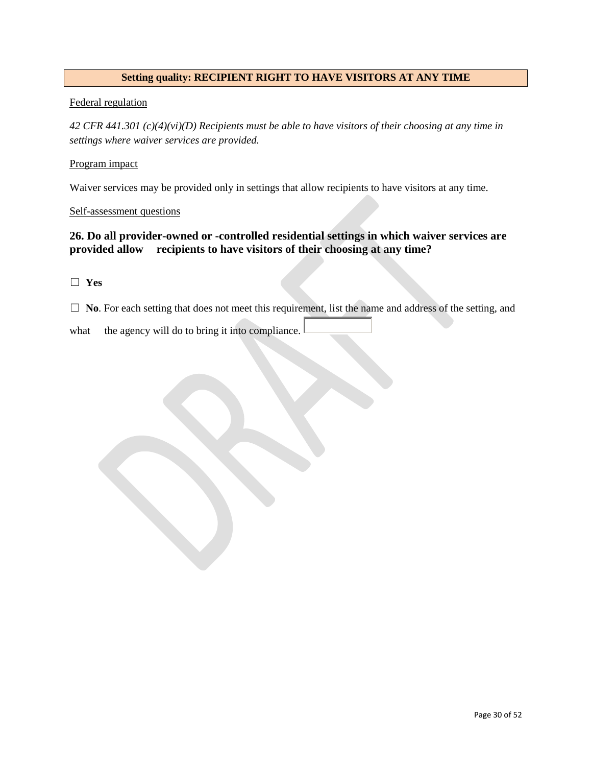### **Setting quality: RECIPIENT RIGHT TO HAVE VISITORS AT ANY TIME**

### Federal regulation

*42 CFR 441.301 (c)(4)(vi)(D) Recipients must be able to have visitors of their choosing at any time in settings where waiver services are provided.*

### Program impact

Waiver services may be provided only in settings that allow recipients to have visitors at any time.

### Self-assessment questions

## **26. Do all provider-owned or -controlled residential settings in which waiver services are provided allow recipients to have visitors of their choosing at any time?**

### ☐ **Yes**

□ **No**. For each setting that does not meet this requirement, list the name and address of the setting, and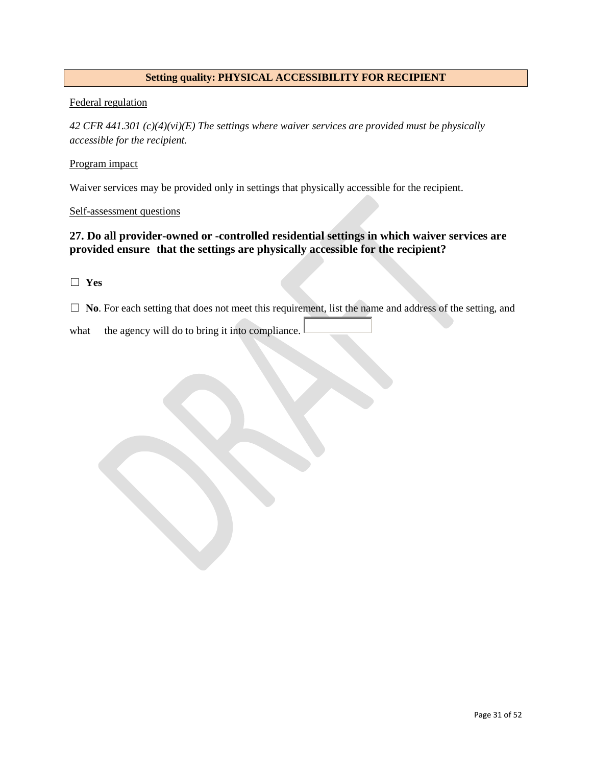### **Setting quality: PHYSICAL ACCESSIBILITY FOR RECIPIENT**

### Federal regulation

*42 CFR 441.301 (c)(4)(vi)(E) The settings where waiver services are provided must be physically accessible for the recipient.*

### Program impact

Waiver services may be provided only in settings that physically accessible for the recipient.

### Self-assessment questions

## **27. Do all provider-owned or -controlled residential settings in which waiver services are provided ensure that the settings are physically accessible for the recipient?**

### ☐ **Yes**

□ **No**. For each setting that does not meet this requirement, list the name and address of the setting, and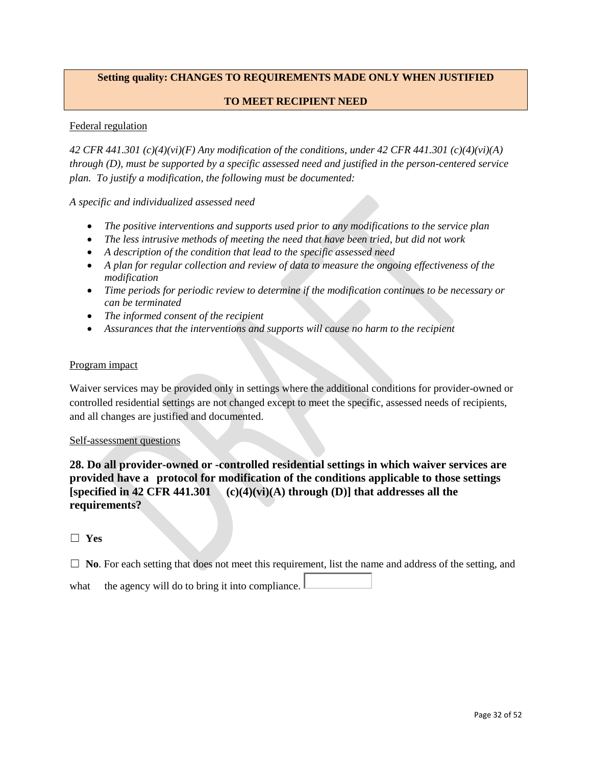## **Setting quality: CHANGES TO REQUIREMENTS MADE ONLY WHEN JUSTIFIED**

### **TO MEET RECIPIENT NEED**

### Federal regulation

*42 CFR 441.301 (c)(4)(vi)(F) Any modification of the conditions, under 42 CFR 441.301 (c)(4)(vi)(A) through (D), must be supported by a specific assessed need and justified in the person-centered service plan. To justify a modification, the following must be documented:*

*A specific and individualized assessed need*

- *The positive interventions and supports used prior to any modifications to the service plan*
- *The less intrusive methods of meeting the need that have been tried, but did not work*
- *A description of the condition that lead to the specific assessed need*
- *A plan for regular collection and review of data to measure the ongoing effectiveness of the modification*
- *Time periods for periodic review to determine if the modification continues to be necessary or can be terminated*
- *The informed consent of the recipient*
- *Assurances that the interventions and supports will cause no harm to the recipient*

### Program impact

Waiver services may be provided only in settings where the additional conditions for provider-owned or controlled residential settings are not changed except to meet the specific, assessed needs of recipients, and all changes are justified and documented.

#### Self-assessment questions

**28. Do all provider-owned or -controlled residential settings in which waiver services are provided have a protocol for modification of the conditions applicable to those settings [specified in 42 CFR 441.301 (c)(4)(vi)(A) through (D)] that addresses all the requirements?**

### ☐ **Yes**

□ **No**. For each setting that does not meet this requirement, list the name and address of the setting, and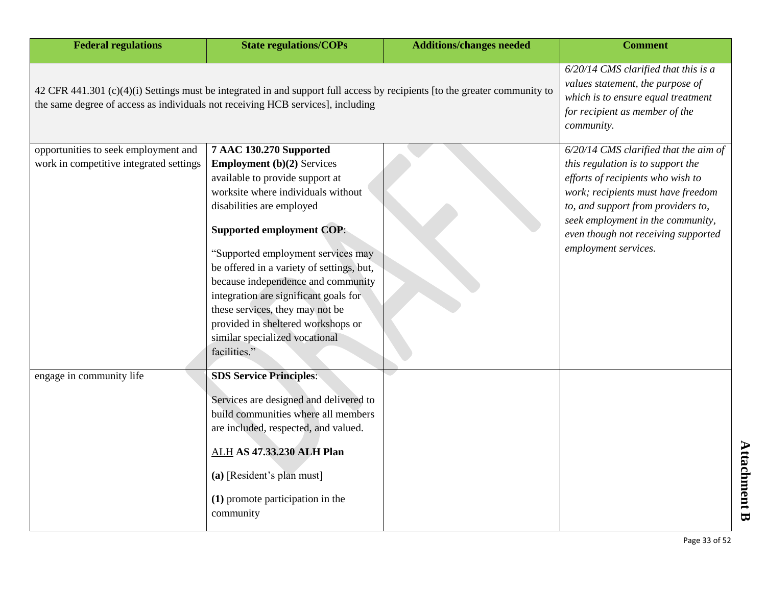| <b>Federal regulations</b>                                                                                                                                                                                    | <b>State regulations/COPs</b>                                                                                                                                                                                                                                                                                                                                                                                                                                                                       | <b>Additions/changes needed</b> | <b>Comment</b>                                                                                                                                                                                                                                                                                  |
|---------------------------------------------------------------------------------------------------------------------------------------------------------------------------------------------------------------|-----------------------------------------------------------------------------------------------------------------------------------------------------------------------------------------------------------------------------------------------------------------------------------------------------------------------------------------------------------------------------------------------------------------------------------------------------------------------------------------------------|---------------------------------|-------------------------------------------------------------------------------------------------------------------------------------------------------------------------------------------------------------------------------------------------------------------------------------------------|
| 42 CFR 441.301 (c)(4)(i) Settings must be integrated in and support full access by recipients [to the greater community to<br>the same degree of access as individuals not receiving HCB services], including | $6/20/14$ CMS clarified that this is a<br>values statement, the purpose of<br>which is to ensure equal treatment<br>for recipient as member of the<br>community.                                                                                                                                                                                                                                                                                                                                    |                                 |                                                                                                                                                                                                                                                                                                 |
| opportunities to seek employment and<br>work in competitive integrated settings                                                                                                                               | 7 AAC 130.270 Supported<br><b>Employment</b> (b)(2) Services<br>available to provide support at<br>worksite where individuals without<br>disabilities are employed<br><b>Supported employment COP:</b><br>"Supported employment services may<br>be offered in a variety of settings, but,<br>because independence and community<br>integration are significant goals for<br>these services, they may not be<br>provided in sheltered workshops or<br>similar specialized vocational<br>facilities." |                                 | 6/20/14 CMS clarified that the aim of<br>this regulation is to support the<br>efforts of recipients who wish to<br>work; recipients must have freedom<br>to, and support from providers to,<br>seek employment in the community,<br>even though not receiving supported<br>employment services. |
| engage in community life                                                                                                                                                                                      | <b>SDS Service Principles:</b><br>Services are designed and delivered to<br>build communities where all members<br>are included, respected, and valued.<br><b>ALH AS 47.33.230 ALH Plan</b><br>(a) [Resident's plan must]<br>(1) promote participation in the<br>community                                                                                                                                                                                                                          |                                 |                                                                                                                                                                                                                                                                                                 |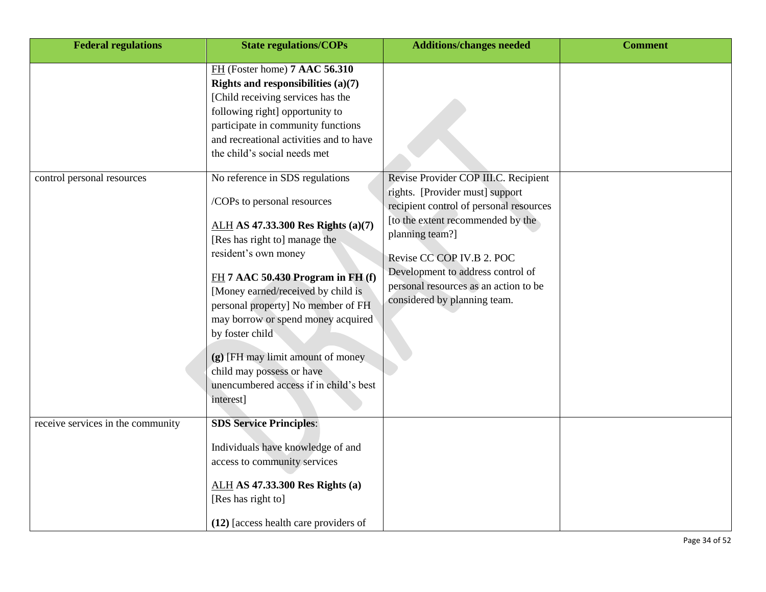| <b>Federal regulations</b>        | <b>State regulations/COPs</b>                                                                                                                                                                                                                                                                                                                                                                                                     | <b>Additions/changes needed</b>                                                                                                                                                                                                                                               | <b>Comment</b> |
|-----------------------------------|-----------------------------------------------------------------------------------------------------------------------------------------------------------------------------------------------------------------------------------------------------------------------------------------------------------------------------------------------------------------------------------------------------------------------------------|-------------------------------------------------------------------------------------------------------------------------------------------------------------------------------------------------------------------------------------------------------------------------------|----------------|
| control personal resources        | FH (Foster home) 7 AAC 56.310<br>Rights and responsibilities $(a)(7)$<br>[Child receiving services has the<br>following right] opportunity to<br>participate in community functions<br>and recreational activities and to have<br>the child's social needs met<br>No reference in SDS regulations                                                                                                                                 | Revise Provider COP III.C. Recipient                                                                                                                                                                                                                                          |                |
|                                   | /COPs to personal resources<br>ALH AS 47.33.300 Res Rights (a)(7)<br>[Res has right to] manage the<br>resident's own money<br>$FH$ 7 AAC 50.430 Program in FH $(f)$<br>[Money earned/received by child is<br>personal property] No member of FH<br>may borrow or spend money acquired<br>by foster child<br>(g) [FH may limit amount of money<br>child may possess or have<br>unencumbered access if in child's best<br>interest] | rights. [Provider must] support<br>recipient control of personal resources<br>[to the extent recommended by the<br>planning team?]<br>Revise CC COP IV.B 2. POC<br>Development to address control of<br>personal resources as an action to be<br>considered by planning team. |                |
| receive services in the community | <b>SDS Service Principles:</b><br>Individuals have knowledge of and<br>access to community services<br><b>ALH AS 47.33.300 Res Rights (a)</b><br>[Res has right to]<br>(12) [access health care providers of                                                                                                                                                                                                                      |                                                                                                                                                                                                                                                                               |                |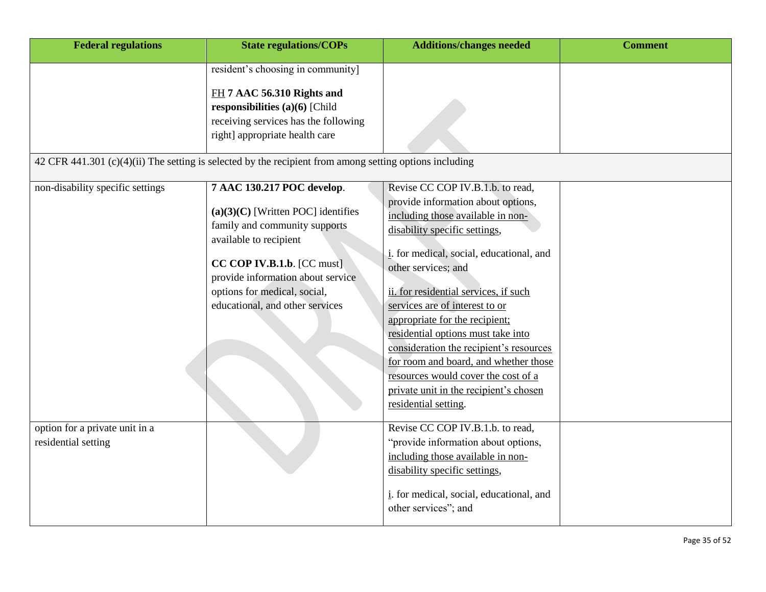| <b>Federal regulations</b>                            | <b>State regulations/COPs</b>                                                                                                                                                                                                                                           | <b>Additions/changes needed</b>                                                                                                                                                                                                                                                                                                                                                                                                                                                                                                                                 | <b>Comment</b> |
|-------------------------------------------------------|-------------------------------------------------------------------------------------------------------------------------------------------------------------------------------------------------------------------------------------------------------------------------|-----------------------------------------------------------------------------------------------------------------------------------------------------------------------------------------------------------------------------------------------------------------------------------------------------------------------------------------------------------------------------------------------------------------------------------------------------------------------------------------------------------------------------------------------------------------|----------------|
|                                                       | resident's choosing in community]<br>FH 7 AAC 56.310 Rights and<br>responsibilities (a) $(6)$ [Child<br>receiving services has the following<br>right] appropriate health care                                                                                          |                                                                                                                                                                                                                                                                                                                                                                                                                                                                                                                                                                 |                |
|                                                       | 42 CFR 441.301 (c)(4)(ii) The setting is selected by the recipient from among setting options including                                                                                                                                                                 |                                                                                                                                                                                                                                                                                                                                                                                                                                                                                                                                                                 |                |
| non-disability specific settings                      | 7 AAC 130.217 POC develop.<br>$(a)(3)(C)$ [Written POC] identifies<br>family and community supports<br>available to recipient<br>$CC$ COP IV.B.1.b. $[CC$ must]<br>provide information about service<br>options for medical, social,<br>educational, and other services | Revise CC COP IV.B.1.b. to read,<br>provide information about options,<br>including those available in non-<br>disability specific settings,<br>i. for medical, social, educational, and<br>other services; and<br>ii. for residential services, if such<br>services are of interest to or<br>appropriate for the recipient;<br>residential options must take into<br>consideration the recipient's resources<br>for room and board, and whether those<br>resources would cover the cost of a<br>private unit in the recipient's chosen<br>residential setting. |                |
| option for a private unit in a<br>residential setting |                                                                                                                                                                                                                                                                         | Revise CC COP IV.B.1.b. to read,<br>"provide information about options,<br>including those available in non-<br>disability specific settings,<br>i. for medical, social, educational, and<br>other services"; and                                                                                                                                                                                                                                                                                                                                               |                |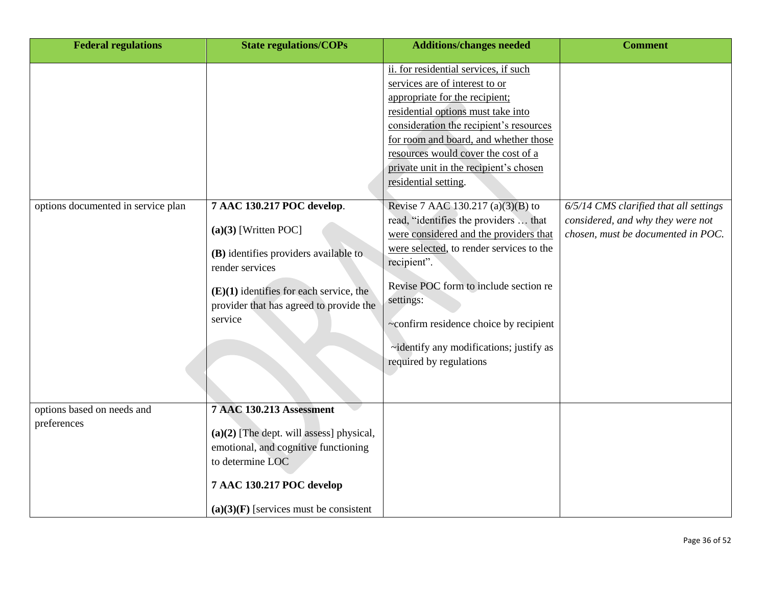| <b>Federal regulations</b>                | <b>State regulations/COPs</b>                                                                                                                                                                                       | <b>Additions/changes needed</b>                                                                                                                                                                                                                                                                                                                                                                                                                                                                                                                                                                                                                                                                       | <b>Comment</b>                                                                                                    |
|-------------------------------------------|---------------------------------------------------------------------------------------------------------------------------------------------------------------------------------------------------------------------|-------------------------------------------------------------------------------------------------------------------------------------------------------------------------------------------------------------------------------------------------------------------------------------------------------------------------------------------------------------------------------------------------------------------------------------------------------------------------------------------------------------------------------------------------------------------------------------------------------------------------------------------------------------------------------------------------------|-------------------------------------------------------------------------------------------------------------------|
| options documented in service plan        | 7 AAC 130.217 POC develop.<br>$(a)(3)$ [Written POC]<br>(B) identifies providers available to<br>render services<br>$(E)(1)$ identifies for each service, the<br>provider that has agreed to provide the<br>service | ii. for residential services, if such<br>services are of interest to or<br>appropriate for the recipient;<br>residential options must take into<br>consideration the recipient's resources<br>for room and board, and whether those<br>resources would cover the cost of a<br>private unit in the recipient's chosen<br>residential setting.<br>Revise 7 AAC 130.217 (a)(3)(B) to<br>read, "identifies the providers  that<br>were considered and the providers that<br>were selected, to render services to the<br>recipient".<br>Revise POC form to include section re<br>settings:<br>~confirm residence choice by recipient<br>~identify any modifications; justify as<br>required by regulations | 6/5/14 CMS clarified that all settings<br>considered, and why they were not<br>chosen, must be documented in POC. |
| options based on needs and<br>preferences | <b>7 AAC 130.213 Assessment</b><br>$(a)(2)$ [The dept. will assess] physical,<br>emotional, and cognitive functioning<br>to determine LOC<br>7 AAC 130.217 POC develop<br>$(a)(3)(F)$ [services must be consistent  |                                                                                                                                                                                                                                                                                                                                                                                                                                                                                                                                                                                                                                                                                                       |                                                                                                                   |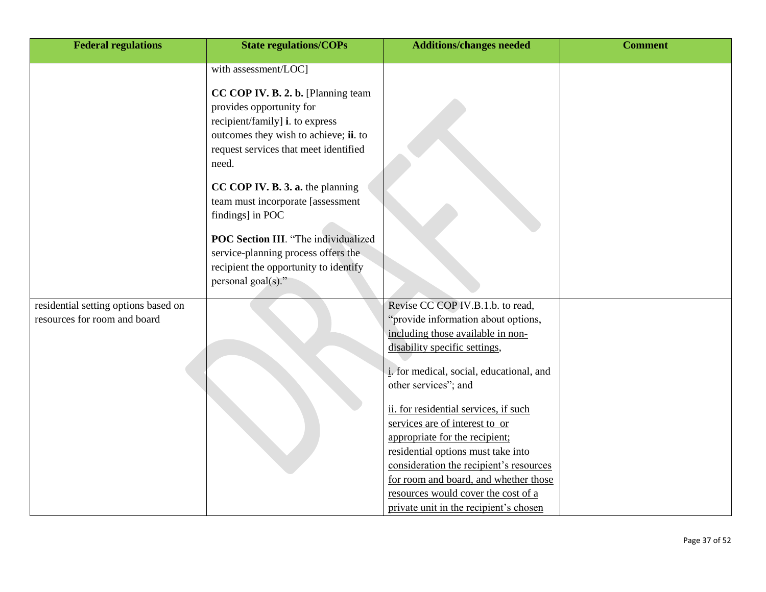| <b>Federal regulations</b>           | <b>State regulations/COPs</b>                                                                                                                                                                | <b>Additions/changes needed</b>                                                                                                                                                                                                                                                                                      | <b>Comment</b> |
|--------------------------------------|----------------------------------------------------------------------------------------------------------------------------------------------------------------------------------------------|----------------------------------------------------------------------------------------------------------------------------------------------------------------------------------------------------------------------------------------------------------------------------------------------------------------------|----------------|
|                                      | with assessment/LOC]                                                                                                                                                                         |                                                                                                                                                                                                                                                                                                                      |                |
|                                      | CC COP IV. B. 2. b. [Planning team<br>provides opportunity for<br>recipient/family] i. to express<br>outcomes they wish to achieve; ii. to<br>request services that meet identified<br>need. |                                                                                                                                                                                                                                                                                                                      |                |
|                                      | CC COP IV. B. 3. a. the planning<br>team must incorporate [assessment<br>findings] in POC                                                                                                    |                                                                                                                                                                                                                                                                                                                      |                |
|                                      | <b>POC Section III</b> . "The individualized<br>service-planning process offers the<br>recipient the opportunity to identify<br>personal goal(s)."                                           |                                                                                                                                                                                                                                                                                                                      |                |
| residential setting options based on |                                                                                                                                                                                              | Revise CC COP IV.B.1.b. to read,                                                                                                                                                                                                                                                                                     |                |
| resources for room and board         |                                                                                                                                                                                              | "provide information about options,                                                                                                                                                                                                                                                                                  |                |
|                                      |                                                                                                                                                                                              | including those available in non-                                                                                                                                                                                                                                                                                    |                |
|                                      |                                                                                                                                                                                              | disability specific settings,                                                                                                                                                                                                                                                                                        |                |
|                                      |                                                                                                                                                                                              | i. for medical, social, educational, and                                                                                                                                                                                                                                                                             |                |
|                                      |                                                                                                                                                                                              | other services"; and                                                                                                                                                                                                                                                                                                 |                |
|                                      |                                                                                                                                                                                              | ii. for residential services, if such<br>services are of interest to or<br>appropriate for the recipient;<br>residential options must take into<br>consideration the recipient's resources<br>for room and board, and whether those<br>resources would cover the cost of a<br>private unit in the recipient's chosen |                |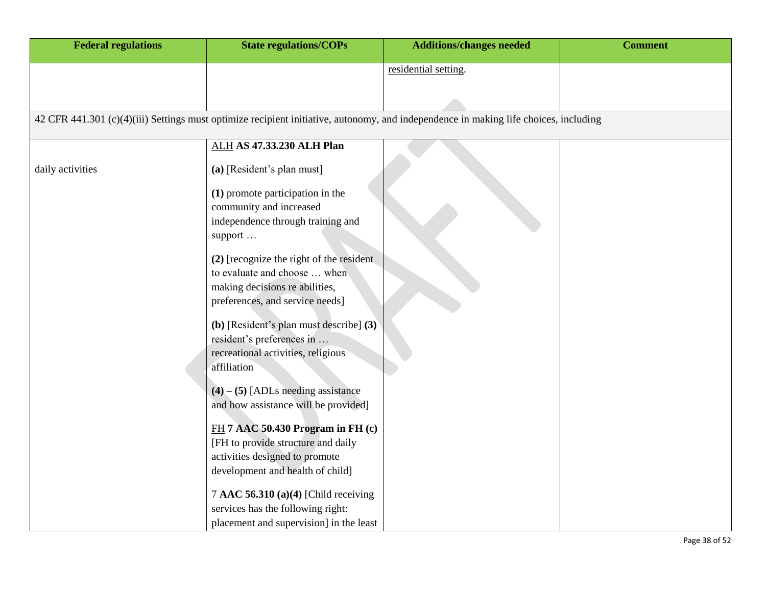| <b>Federal regulations</b> | <b>State regulations/COPs</b>                                                                                                        | <b>Additions/changes needed</b> | <b>Comment</b> |
|----------------------------|--------------------------------------------------------------------------------------------------------------------------------------|---------------------------------|----------------|
|                            |                                                                                                                                      | residential setting.            |                |
|                            |                                                                                                                                      |                                 |                |
|                            |                                                                                                                                      |                                 |                |
|                            | 42 CFR 441.301 (c)(4)(iii) Settings must optimize recipient initiative, autonomy, and independence in making life choices, including |                                 |                |
|                            | <b>ALH AS 47.33.230 ALH Plan</b>                                                                                                     |                                 |                |
| daily activities           | (a) [Resident's plan must]                                                                                                           |                                 |                |
|                            | (1) promote participation in the<br>community and increased                                                                          |                                 |                |
|                            | independence through training and<br>support                                                                                         |                                 |                |
|                            | (2) [recognize the right of the resident                                                                                             |                                 |                |
|                            | to evaluate and choose  when                                                                                                         |                                 |                |
|                            | making decisions re abilities,<br>preferences, and service needs]                                                                    |                                 |                |
|                            | (b) [Resident's plan must describe] (3)                                                                                              |                                 |                |
|                            | resident's preferences in                                                                                                            |                                 |                |
|                            | recreational activities, religious<br>affiliation                                                                                    |                                 |                |
|                            | $(4) - (5)$ [ADLs needing assistance                                                                                                 |                                 |                |
|                            | and how assistance will be provided]                                                                                                 |                                 |                |
|                            | $FH$ 7 AAC 50.430 Program in FH $(c)$                                                                                                |                                 |                |
|                            | [FH to provide structure and daily                                                                                                   |                                 |                |
|                            | activities designed to promote                                                                                                       |                                 |                |
|                            | development and health of child]                                                                                                     |                                 |                |
|                            | 7 AAC 56.310 (a)(4) [Child receiving                                                                                                 |                                 |                |
|                            | services has the following right:                                                                                                    |                                 |                |
|                            | placement and supervision] in the least                                                                                              |                                 |                |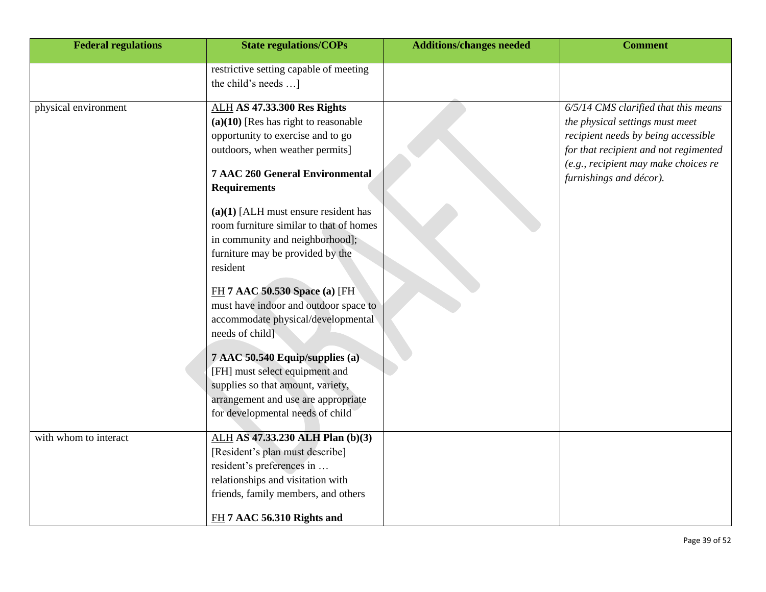| <b>Federal regulations</b> | <b>State regulations/COPs</b>                                                                                                                                                                                         | <b>Additions/changes needed</b> | <b>Comment</b>                                                                                                                                                                                                             |
|----------------------------|-----------------------------------------------------------------------------------------------------------------------------------------------------------------------------------------------------------------------|---------------------------------|----------------------------------------------------------------------------------------------------------------------------------------------------------------------------------------------------------------------------|
|                            | restrictive setting capable of meeting<br>the child's needs ]                                                                                                                                                         |                                 |                                                                                                                                                                                                                            |
| physical environment       | <b>ALH AS 47.33.300 Res Rights</b><br>$(a)(10)$ [Res has right to reasonable<br>opportunity to exercise and to go<br>outdoors, when weather permits]<br><b>7 AAC 260 General Environmental</b><br><b>Requirements</b> |                                 | 6/5/14 CMS clarified that this means<br>the physical settings must meet<br>recipient needs by being accessible<br>for that recipient and not regimented<br>(e.g., recipient may make choices re<br>furnishings and décor). |
|                            | $(a)(1)$ [ALH must ensure resident has<br>room furniture similar to that of homes<br>in community and neighborhood];<br>furniture may be provided by the<br>resident                                                  |                                 |                                                                                                                                                                                                                            |
|                            | FH 7 AAC 50.530 Space (a) [FH<br>must have indoor and outdoor space to<br>accommodate physical/developmental<br>needs of child]                                                                                       |                                 |                                                                                                                                                                                                                            |
|                            | 7 AAC 50.540 Equip/supplies (a)<br>[FH] must select equipment and<br>supplies so that amount, variety,<br>arrangement and use are appropriate<br>for developmental needs of child                                     |                                 |                                                                                                                                                                                                                            |
| with whom to interact      | ALH AS 47.33.230 ALH Plan (b)(3)<br>[Resident's plan must describe]<br>resident's preferences in<br>relationships and visitation with<br>friends, family members, and others<br>FH 7 AAC 56.310 Rights and            |                                 |                                                                                                                                                                                                                            |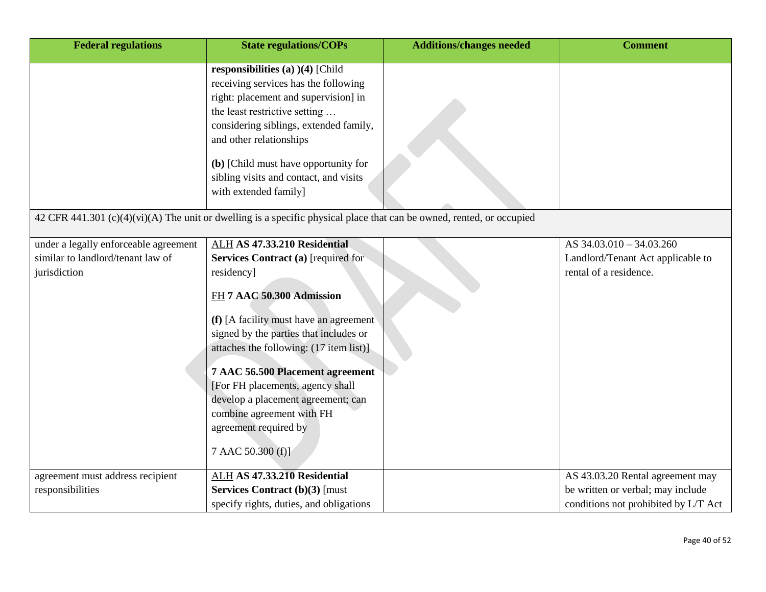| <b>Federal regulations</b>                                                                 | <b>State regulations/COPs</b>                                                                                                                                                                                                                                                                                                                                                                                                          | <b>Additions/changes needed</b> | <b>Comment</b>                                                                                                |
|--------------------------------------------------------------------------------------------|----------------------------------------------------------------------------------------------------------------------------------------------------------------------------------------------------------------------------------------------------------------------------------------------------------------------------------------------------------------------------------------------------------------------------------------|---------------------------------|---------------------------------------------------------------------------------------------------------------|
|                                                                                            | responsibilities (a) $)(4)$ [Child<br>receiving services has the following<br>right: placement and supervision] in<br>the least restrictive setting<br>considering siblings, extended family,<br>and other relationships<br>(b) [Child must have opportunity for<br>sibling visits and contact, and visits<br>with extended family]                                                                                                    |                                 |                                                                                                               |
|                                                                                            | 42 CFR 441.301 (c)(4)(vi)(A) The unit or dwelling is a specific physical place that can be owned, rented, or occupied                                                                                                                                                                                                                                                                                                                  |                                 |                                                                                                               |
| under a legally enforceable agreement<br>similar to landlord/tenant law of<br>jurisdiction | ALH AS 47.33.210 Residential<br>Services Contract (a) [required for<br>residency]<br>FH 7 AAC 50.300 Admission<br>(f) [A facility must have an agreement<br>signed by the parties that includes or<br>attaches the following: (17 item list)]<br>7 AAC 56.500 Placement agreement<br>[For FH placements, agency shall<br>develop a placement agreement; can<br>combine agreement with FH<br>agreement required by<br>7 AAC 50.300 (f)] |                                 | AS 34.03.010 - 34.03.260<br>Landlord/Tenant Act applicable to<br>rental of a residence.                       |
| agreement must address recipient<br>responsibilities                                       | ALH AS 47.33.210 Residential<br><b>Services Contract (b)(3) [must</b><br>specify rights, duties, and obligations                                                                                                                                                                                                                                                                                                                       |                                 | AS 43.03.20 Rental agreement may<br>be written or verbal; may include<br>conditions not prohibited by L/T Act |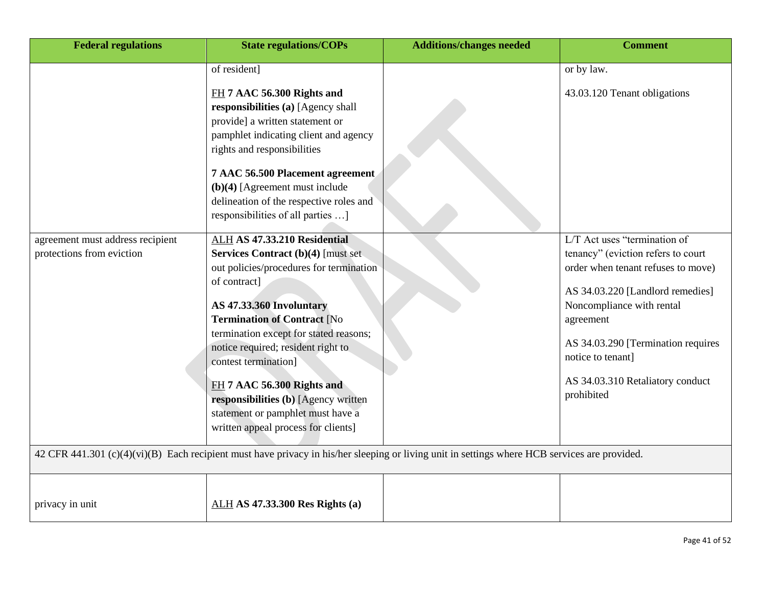| <b>Federal regulations</b>                                    | <b>State regulations/COPs</b>                                                                                                                                                                                                                                                                                                                                                                                                                                                                    | <b>Additions/changes needed</b> | <b>Comment</b>                                                                                                                                                                          |
|---------------------------------------------------------------|--------------------------------------------------------------------------------------------------------------------------------------------------------------------------------------------------------------------------------------------------------------------------------------------------------------------------------------------------------------------------------------------------------------------------------------------------------------------------------------------------|---------------------------------|-----------------------------------------------------------------------------------------------------------------------------------------------------------------------------------------|
| agreement must address recipient<br>protections from eviction | of resident]<br>FH 7 AAC 56.300 Rights and<br>responsibilities (a) [Agency shall<br>provide] a written statement or<br>pamphlet indicating client and agency<br>rights and responsibilities<br>7 AAC 56.500 Placement agreement<br>$(b)(4)$ [Agreement must include<br>delineation of the respective roles and<br>responsibilities of all parties ]<br>ALH AS 47.33.210 Residential<br><b>Services Contract (b)(4) [must set</b><br>out policies/procedures for termination                      | or by law.                      | 43.03.120 Tenant obligations<br>L/T Act uses "termination of<br>tenancy" (eviction refers to court<br>order when tenant refuses to move)                                                |
|                                                               | of contract]<br><b>AS 47.33.360 Involuntary</b><br><b>Termination of Contract [No</b><br>termination except for stated reasons;<br>notice required; resident right to<br>contest termination]<br>FH 7 AAC 56.300 Rights and<br>responsibilities (b) [Agency written<br>statement or pamphlet must have a<br>written appeal process for clients]<br>42 CFR 441.301 (c)(4)(vi)(B) Each recipient must have privacy in his/her sleeping or living unit in settings where HCB services are provided. |                                 | AS 34.03.220 [Landlord remedies]<br>Noncompliance with rental<br>agreement<br>AS 34.03.290 [Termination requires<br>notice to tenant]<br>AS 34.03.310 Retaliatory conduct<br>prohibited |
|                                                               |                                                                                                                                                                                                                                                                                                                                                                                                                                                                                                  |                                 |                                                                                                                                                                                         |
| privacy in unit                                               | <b>ALH AS 47.33.300 Res Rights (a)</b>                                                                                                                                                                                                                                                                                                                                                                                                                                                           |                                 |                                                                                                                                                                                         |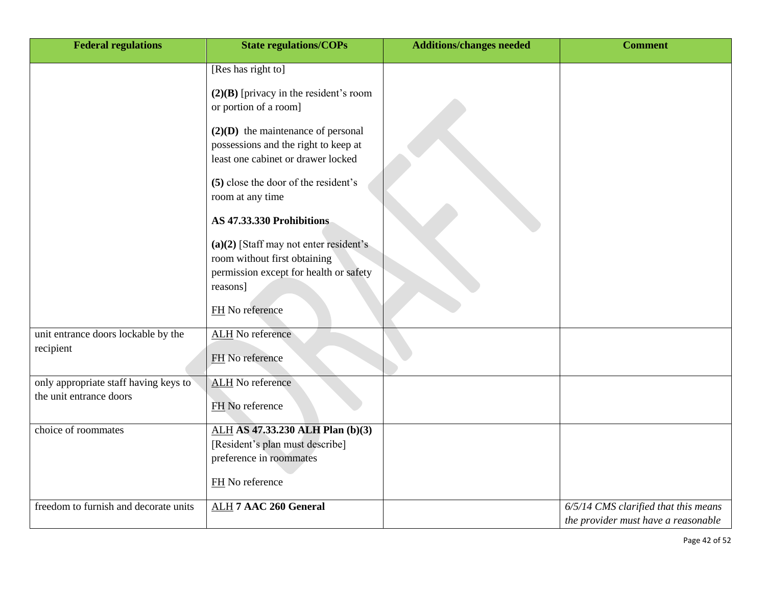| <b>Federal regulations</b>            | <b>State regulations/COPs</b>                                                                                      | <b>Additions/changes needed</b> | <b>Comment</b>                       |
|---------------------------------------|--------------------------------------------------------------------------------------------------------------------|---------------------------------|--------------------------------------|
|                                       | [Res has right to]                                                                                                 |                                 |                                      |
|                                       | $(2)(B)$ [privacy in the resident's room                                                                           |                                 |                                      |
|                                       | or portion of a room]                                                                                              |                                 |                                      |
|                                       | $(2)(D)$ the maintenance of personal<br>possessions and the right to keep at<br>least one cabinet or drawer locked |                                 |                                      |
|                                       | (5) close the door of the resident's<br>room at any time                                                           |                                 |                                      |
|                                       | AS 47.33.330 Prohibitions                                                                                          |                                 |                                      |
|                                       | $(a)(2)$ [Staff may not enter resident's<br>room without first obtaining<br>permission except for health or safety |                                 |                                      |
|                                       | reasons]                                                                                                           |                                 |                                      |
|                                       | FH No reference                                                                                                    |                                 |                                      |
| unit entrance doors lockable by the   | <b>ALH</b> No reference                                                                                            |                                 |                                      |
| recipient                             | FH No reference                                                                                                    |                                 |                                      |
| only appropriate staff having keys to | <b>ALH</b> No reference                                                                                            |                                 |                                      |
| the unit entrance doors               | FH No reference                                                                                                    |                                 |                                      |
| choice of roommates                   | ALH AS 47.33.230 ALH Plan (b)(3)                                                                                   |                                 |                                      |
|                                       | [Resident's plan must describe]<br>preference in roommates                                                         |                                 |                                      |
|                                       |                                                                                                                    |                                 |                                      |
|                                       | FH No reference                                                                                                    |                                 |                                      |
| freedom to furnish and decorate units | <b>ALH 7 AAC 260 General</b>                                                                                       |                                 | 6/5/14 CMS clarified that this means |
|                                       |                                                                                                                    |                                 | the provider must have a reasonable  |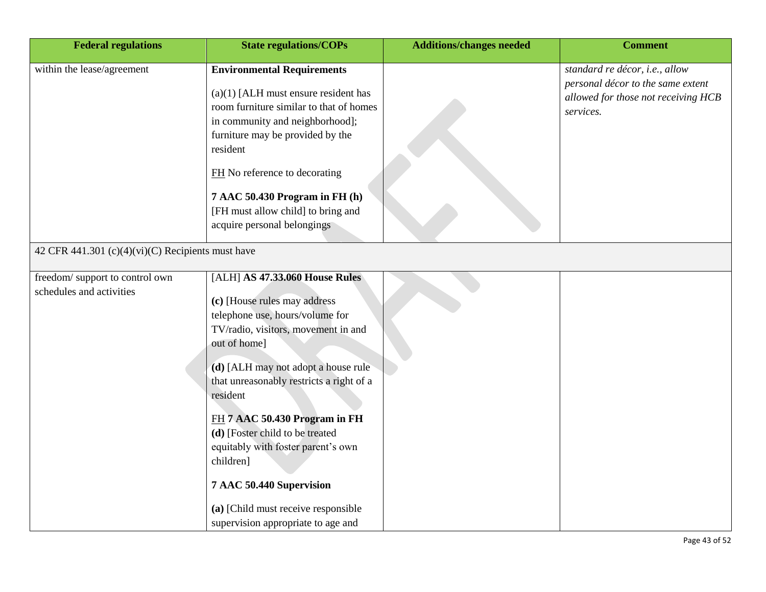| <b>Federal regulations</b>                                 | <b>State regulations/COPs</b>                                                                                                                                                                                                                                                                                                                                                                                                                                                           | <b>Additions/changes needed</b> | <b>Comment</b>                                                                                                          |
|------------------------------------------------------------|-----------------------------------------------------------------------------------------------------------------------------------------------------------------------------------------------------------------------------------------------------------------------------------------------------------------------------------------------------------------------------------------------------------------------------------------------------------------------------------------|---------------------------------|-------------------------------------------------------------------------------------------------------------------------|
| within the lease/agreement                                 | <b>Environmental Requirements</b><br>$(a)(1)$ [ALH must ensure resident has<br>room furniture similar to that of homes<br>in community and neighborhood];<br>furniture may be provided by the<br>resident<br>FH No reference to decorating<br>7 AAC 50.430 Program in FH (h)<br>[FH must allow child] to bring and<br>acquire personal belongings                                                                                                                                       |                                 | standard re décor, i.e., allow<br>personal décor to the same extent<br>allowed for those not receiving HCB<br>services. |
| 42 CFR 441.301 (c)(4)(vi)(C) Recipients must have          |                                                                                                                                                                                                                                                                                                                                                                                                                                                                                         |                                 |                                                                                                                         |
| freedom/support to control own<br>schedules and activities | [ALH] AS 47.33.060 House Rules<br>(c) [House rules may address<br>telephone use, hours/volume for<br>TV/radio, visitors, movement in and<br>out of home]<br>(d) [ALH may not adopt a house rule<br>that unreasonably restricts a right of a<br>resident<br>FH 7 AAC 50.430 Program in FH<br>(d) [Foster child to be treated<br>equitably with foster parent's own<br>children]<br>7 AAC 50.440 Supervision<br>(a) [Child must receive responsible<br>supervision appropriate to age and |                                 |                                                                                                                         |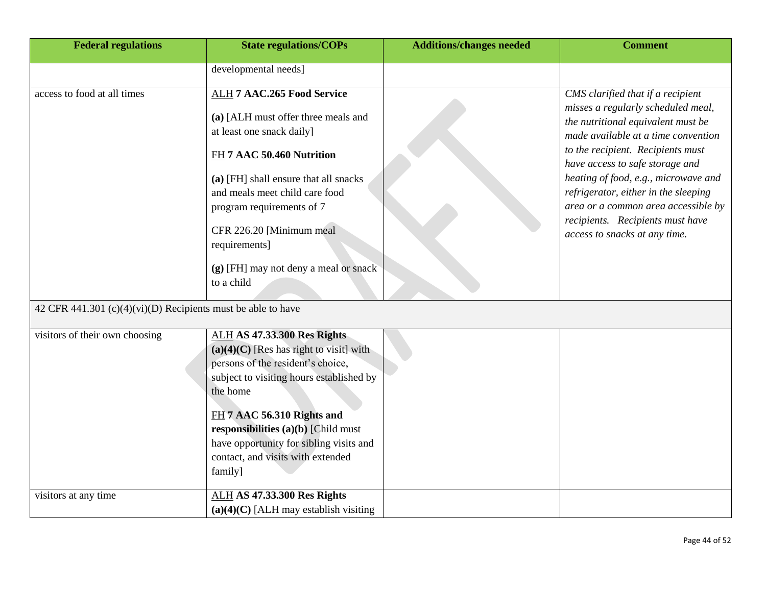| <b>Federal regulations</b>                                     | <b>State regulations/COPs</b>                                                                                                                                                                                                                                                                                                                  | <b>Additions/changes needed</b> | <b>Comment</b>                                                                                                                                                                                                                                                                                                                                                                                                           |
|----------------------------------------------------------------|------------------------------------------------------------------------------------------------------------------------------------------------------------------------------------------------------------------------------------------------------------------------------------------------------------------------------------------------|---------------------------------|--------------------------------------------------------------------------------------------------------------------------------------------------------------------------------------------------------------------------------------------------------------------------------------------------------------------------------------------------------------------------------------------------------------------------|
|                                                                | developmental needs]                                                                                                                                                                                                                                                                                                                           |                                 |                                                                                                                                                                                                                                                                                                                                                                                                                          |
| access to food at all times                                    | <b>ALH 7 AAC.265 Food Service</b><br>(a) [ALH must offer three meals and<br>at least one snack daily]<br>FH 7 AAC 50.460 Nutrition<br>(a) [FH] shall ensure that all snacks<br>and meals meet child care food<br>program requirements of 7<br>CFR 226.20 [Minimum meal<br>requirements]<br>(g) [FH] may not deny a meal or snack<br>to a child |                                 | CMS clarified that if a recipient<br>misses a regularly scheduled meal,<br>the nutritional equivalent must be<br>made available at a time convention<br>to the recipient. Recipients must<br>have access to safe storage and<br>heating of food, e.g., microwave and<br>refrigerator, either in the sleeping<br>area or a common area accessible by<br>recipients. Recipients must have<br>access to snacks at any time. |
| 42 CFR 441.301 $(c)(4)(vi)(D)$ Recipients must be able to have |                                                                                                                                                                                                                                                                                                                                                |                                 |                                                                                                                                                                                                                                                                                                                                                                                                                          |
| visitors of their own choosing                                 | <b>ALH AS 47.33.300 Res Rights</b><br>$(a)(4)(C)$ [Res has right to visit] with<br>persons of the resident's choice,<br>subject to visiting hours established by<br>the home<br>FH 7 AAC 56.310 Rights and<br>responsibilities $(a)(b)$ [Child must<br>have opportunity for sibling visits and<br>contact, and visits with extended<br>family] |                                 |                                                                                                                                                                                                                                                                                                                                                                                                                          |
| visitors at any time                                           | <b>ALH AS 47.33.300 Res Rights</b><br>$(a)(4)(C)$ [ALH may establish visiting                                                                                                                                                                                                                                                                  |                                 |                                                                                                                                                                                                                                                                                                                                                                                                                          |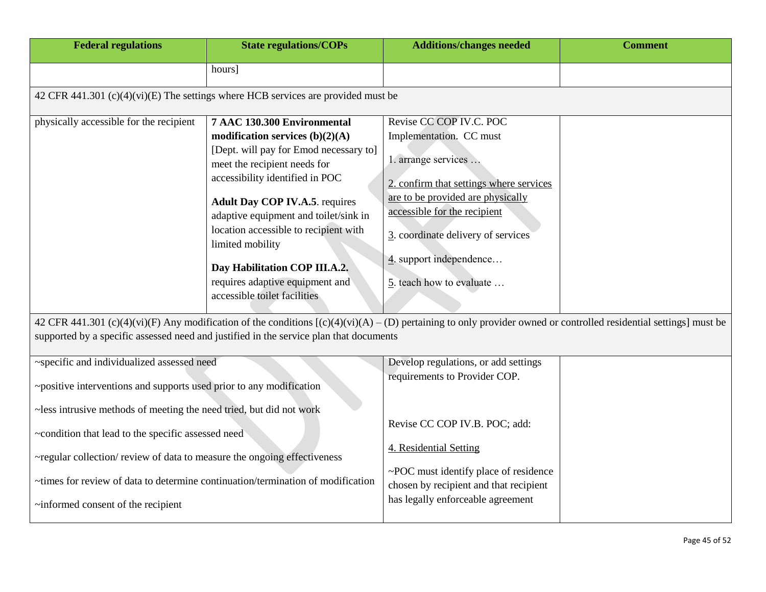| <b>Federal regulations</b>                                                                                                                                                                                                                                                                                                     | <b>State regulations/COPs</b>                                                                                                                                                                                                                                                                                                                                                                                                                                                                                              | <b>Additions/changes needed</b>                                                                                                                                                                                                                                                                                                                                                                                                                                | <b>Comment</b> |
|--------------------------------------------------------------------------------------------------------------------------------------------------------------------------------------------------------------------------------------------------------------------------------------------------------------------------------|----------------------------------------------------------------------------------------------------------------------------------------------------------------------------------------------------------------------------------------------------------------------------------------------------------------------------------------------------------------------------------------------------------------------------------------------------------------------------------------------------------------------------|----------------------------------------------------------------------------------------------------------------------------------------------------------------------------------------------------------------------------------------------------------------------------------------------------------------------------------------------------------------------------------------------------------------------------------------------------------------|----------------|
|                                                                                                                                                                                                                                                                                                                                | hours]                                                                                                                                                                                                                                                                                                                                                                                                                                                                                                                     |                                                                                                                                                                                                                                                                                                                                                                                                                                                                |                |
|                                                                                                                                                                                                                                                                                                                                | 42 CFR 441.301 (c)(4)(vi)(E) The settings where HCB services are provided must be                                                                                                                                                                                                                                                                                                                                                                                                                                          |                                                                                                                                                                                                                                                                                                                                                                                                                                                                |                |
| physically accessible for the recipient                                                                                                                                                                                                                                                                                        | 7 AAC 130.300 Environmental<br>modification services $(b)(2)(A)$<br>[Dept. will pay for Emod necessary to]<br>meet the recipient needs for<br>accessibility identified in POC<br><b>Adult Day COP IV.A.5. requires</b><br>adaptive equipment and toilet/sink in<br>location accessible to recipient with<br>limited mobility<br>Day Habilitation COP III.A.2.<br>requires adaptive equipment and<br>accessible toilet facilities<br>supported by a specific assessed need and justified in the service plan that documents | Revise CC COP IV.C. POC<br>Implementation. CC must<br>1. arrange services<br>2. confirm that settings where services<br>are to be provided are physically<br>accessible for the recipient<br>3. coordinate delivery of services<br>4. support independence<br>5. teach how to evaluate<br>42 CFR 441.301 (c)(4)(vi)(F) Any modification of the conditions $[(c)(4)(vi)(A) - (D)$ pertaining to only provider owned or controlled residential settings] must be |                |
| ~specific and individualized assessed need<br>~positive interventions and supports used prior to any modification                                                                                                                                                                                                              |                                                                                                                                                                                                                                                                                                                                                                                                                                                                                                                            | Develop regulations, or add settings<br>requirements to Provider COP.                                                                                                                                                                                                                                                                                                                                                                                          |                |
| ~less intrusive methods of meeting the need tried, but did not work<br>~condition that lead to the specific assessed need<br>~regular collection/ review of data to measure the ongoing effectiveness<br>~times for review of data to determine continuation/termination of modification<br>~informed consent of the recipient |                                                                                                                                                                                                                                                                                                                                                                                                                                                                                                                            | Revise CC COP IV.B. POC; add:<br>4. Residential Setting<br>~POC must identify place of residence<br>chosen by recipient and that recipient<br>has legally enforceable agreement                                                                                                                                                                                                                                                                                |                |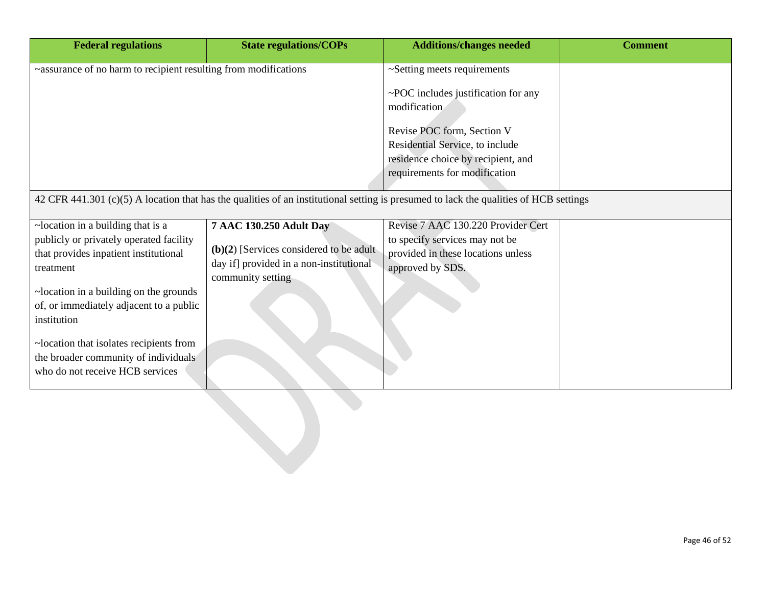| <b>Federal regulations</b>                                                                                                            | <b>State regulations/COPs</b>             | <b>Additions/changes needed</b>                        | <b>Comment</b> |
|---------------------------------------------------------------------------------------------------------------------------------------|-------------------------------------------|--------------------------------------------------------|----------------|
| ~assurance of no harm to recipient resulting from modifications                                                                       |                                           | ~Setting meets requirements                            |                |
|                                                                                                                                       |                                           | $\sim$ POC includes justification for any              |                |
|                                                                                                                                       |                                           | modification                                           |                |
|                                                                                                                                       |                                           | Revise POC form, Section V                             |                |
|                                                                                                                                       |                                           | Residential Service, to include                        |                |
|                                                                                                                                       |                                           | residence choice by recipient, and                     |                |
|                                                                                                                                       |                                           | requirements for modification                          |                |
| 42 CFR 441.301 (c)(5) A location that has the qualities of an institutional setting is presumed to lack the qualities of HCB settings |                                           |                                                        |                |
|                                                                                                                                       |                                           |                                                        |                |
| $\sim$ location in a building that is a                                                                                               | <b>7 AAC 130.250 Adult Day</b>            | Revise 7 AAC 130.220 Provider Cert                     |                |
| publicly or privately operated facility                                                                                               | $(b)(2)$ [Services considered to be adult | to specify services may not be                         |                |
| that provides inpatient institutional<br>treatment                                                                                    | day if] provided in a non-institutional   | provided in these locations unless<br>approved by SDS. |                |
|                                                                                                                                       | community setting                         |                                                        |                |
| ~location in a building on the grounds                                                                                                |                                           |                                                        |                |
| of, or immediately adjacent to a public                                                                                               |                                           |                                                        |                |
| institution                                                                                                                           |                                           |                                                        |                |
| ~location that isolates recipients from                                                                                               |                                           |                                                        |                |
| the broader community of individuals                                                                                                  |                                           |                                                        |                |
| who do not receive HCB services                                                                                                       |                                           |                                                        |                |
|                                                                                                                                       |                                           |                                                        |                |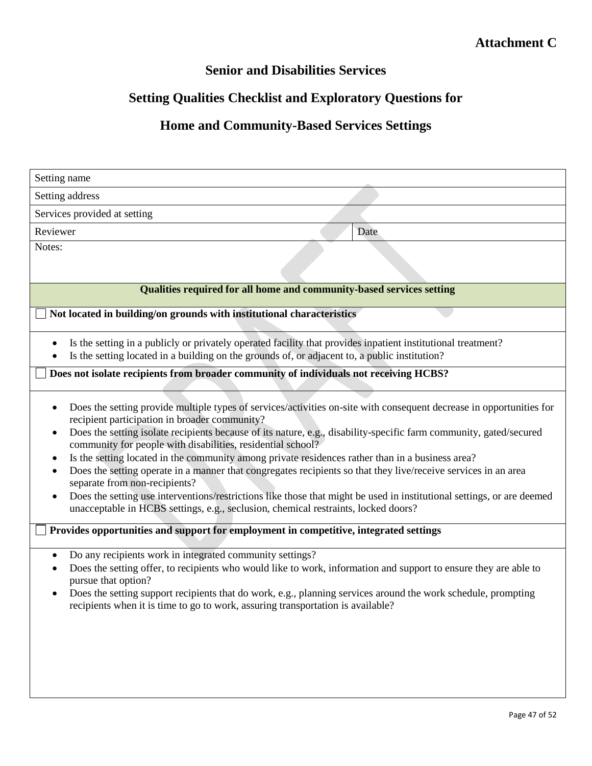## **Senior and Disabilities Services**

# **Setting Qualities Checklist and Exploratory Questions for**

# **Home and Community-Based Services Settings**

| Setting name                 |                                                                                                                                                                                                                                                                                                                                                                                                                                                                                                                                                                                                                                                                                                                                                                                                                                   |
|------------------------------|-----------------------------------------------------------------------------------------------------------------------------------------------------------------------------------------------------------------------------------------------------------------------------------------------------------------------------------------------------------------------------------------------------------------------------------------------------------------------------------------------------------------------------------------------------------------------------------------------------------------------------------------------------------------------------------------------------------------------------------------------------------------------------------------------------------------------------------|
| Setting address              |                                                                                                                                                                                                                                                                                                                                                                                                                                                                                                                                                                                                                                                                                                                                                                                                                                   |
| Services provided at setting |                                                                                                                                                                                                                                                                                                                                                                                                                                                                                                                                                                                                                                                                                                                                                                                                                                   |
| Reviewer                     | Date                                                                                                                                                                                                                                                                                                                                                                                                                                                                                                                                                                                                                                                                                                                                                                                                                              |
| Notes:                       |                                                                                                                                                                                                                                                                                                                                                                                                                                                                                                                                                                                                                                                                                                                                                                                                                                   |
|                              |                                                                                                                                                                                                                                                                                                                                                                                                                                                                                                                                                                                                                                                                                                                                                                                                                                   |
|                              | Qualities required for all home and community-based services setting                                                                                                                                                                                                                                                                                                                                                                                                                                                                                                                                                                                                                                                                                                                                                              |
|                              | Not located in building/on grounds with institutional characteristics                                                                                                                                                                                                                                                                                                                                                                                                                                                                                                                                                                                                                                                                                                                                                             |
|                              | Is the setting in a publicly or privately operated facility that provides inpatient institutional treatment?<br>Is the setting located in a building on the grounds of, or adjacent to, a public institution?                                                                                                                                                                                                                                                                                                                                                                                                                                                                                                                                                                                                                     |
|                              | Does not isolate recipients from broader community of individuals not receiving HCBS?                                                                                                                                                                                                                                                                                                                                                                                                                                                                                                                                                                                                                                                                                                                                             |
| ٠                            | Does the setting provide multiple types of services/activities on-site with consequent decrease in opportunities for<br>recipient participation in broader community?<br>Does the setting isolate recipients because of its nature, e.g., disability-specific farm community, gated/secured<br>community for people with disabilities, residential school?<br>Is the setting located in the community among private residences rather than in a business area?<br>Does the setting operate in a manner that congregates recipients so that they live/receive services in an area<br>separate from non-recipients?<br>Does the setting use interventions/restrictions like those that might be used in institutional settings, or are deemed<br>unacceptable in HCBS settings, e.g., seclusion, chemical restraints, locked doors? |
|                              | Provides opportunities and support for employment in competitive, integrated settings                                                                                                                                                                                                                                                                                                                                                                                                                                                                                                                                                                                                                                                                                                                                             |
|                              | Do any recipients work in integrated community settings?<br>Does the setting offer, to recipients who would like to work, information and support to ensure they are able to<br>pursue that option?<br>Does the setting support recipients that do work, e.g., planning services around the work schedule, prompting<br>recipients when it is time to go to work, assuring transportation is available?                                                                                                                                                                                                                                                                                                                                                                                                                           |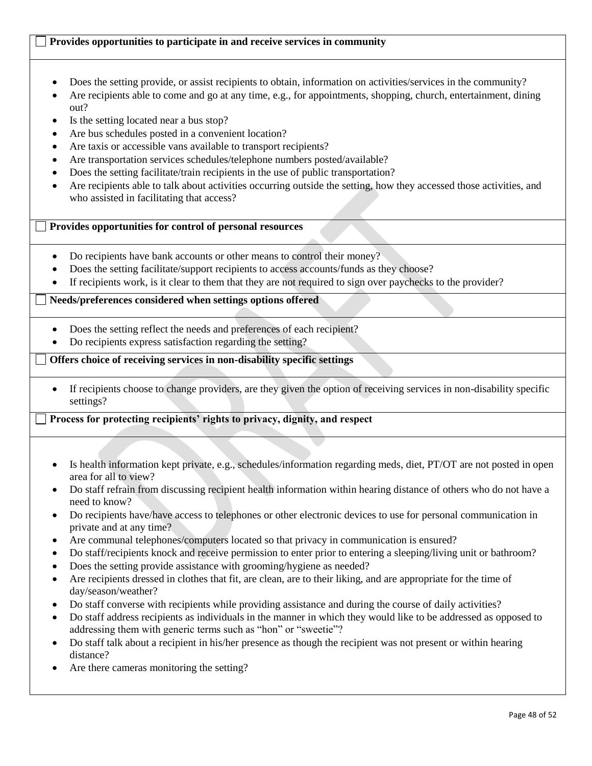## **Provides opportunities to participate in and receive services in community**

- Does the setting provide, or assist recipients to obtain, information on activities/services in the community?
- Are recipients able to come and go at any time, e.g., for appointments, shopping, church, entertainment, dining out?
- Is the setting located near a bus stop?
- Are bus schedules posted in a convenient location?
- Are taxis or accessible vans available to transport recipients?
- Are transportation services schedules/telephone numbers posted/available?
- Does the setting facilitate/train recipients in the use of public transportation?
- Are recipients able to talk about activities occurring outside the setting, how they accessed those activities, and who assisted in facilitating that access?

### **Provides opportunities for control of personal resources**

- Do recipients have bank accounts or other means to control their money?
- Does the setting facilitate/support recipients to access accounts/funds as they choose?
- If recipients work, is it clear to them that they are not required to sign over paychecks to the provider?

### **Needs/preferences considered when settings options offered**

- Does the setting reflect the needs and preferences of each recipient?
- Do recipients express satisfaction regarding the setting?

### **Offers choice of receiving services in non-disability specific settings**

 If recipients choose to change providers, are they given the option of receiving services in non-disability specific settings?

### **Process for protecting recipients' rights to privacy, dignity, and respect**

- Is health information kept private, e.g., schedules/information regarding meds, diet, PT/OT are not posted in open area for all to view?
- Do staff refrain from discussing recipient health information within hearing distance of others who do not have a need to know?
- Do recipients have/have access to telephones or other electronic devices to use for personal communication in private and at any time?
- Are communal telephones/computers located so that privacy in communication is ensured?
- Do staff/recipients knock and receive permission to enter prior to entering a sleeping/living unit or bathroom?
- Does the setting provide assistance with grooming/hygiene as needed?
- Are recipients dressed in clothes that fit, are clean, are to their liking, and are appropriate for the time of day/season/weather?
- Do staff converse with recipients while providing assistance and during the course of daily activities?
- Do staff address recipients as individuals in the manner in which they would like to be addressed as opposed to addressing them with generic terms such as "hon" or "sweetie"?
- Do staff talk about a recipient in his/her presence as though the recipient was not present or within hearing distance?
- Are there cameras monitoring the setting?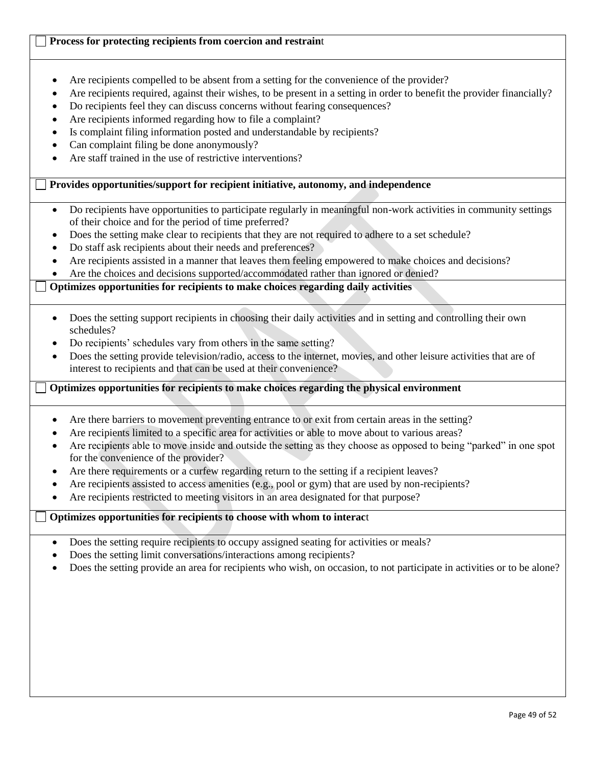## **Process for protecting recipients from coercion and restrain**t

- Are recipients compelled to be absent from a setting for the convenience of the provider?
- Are recipients required, against their wishes, to be present in a setting in order to benefit the provider financially?
- Do recipients feel they can discuss concerns without fearing consequences?
- Are recipients informed regarding how to file a complaint?
- Is complaint filing information posted and understandable by recipients?
- Can complaint filing be done anonymously?
- Are staff trained in the use of restrictive interventions?

## **Provides opportunities/support for recipient initiative, autonomy, and independence**

- Do recipients have opportunities to participate regularly in meaningful non-work activities in community settings of their choice and for the period of time preferred?
- Does the setting make clear to recipients that they are not required to adhere to a set schedule?
- Do staff ask recipients about their needs and preferences?
- Are recipients assisted in a manner that leaves them feeling empowered to make choices and decisions?
- Are the choices and decisions supported/accommodated rather than ignored or denied?

## **Optimizes opportunities for recipients to make choices regarding daily activities**

- Does the setting support recipients in choosing their daily activities and in setting and controlling their own schedules?
- Do recipients' schedules vary from others in the same setting?
- Does the setting provide television/radio, access to the internet, movies, and other leisure activities that are of interest to recipients and that can be used at their convenience?

## **Optimizes opportunities for recipients to make choices regarding the physical environment**

- Are there barriers to movement preventing entrance to or exit from certain areas in the setting?
- Are recipients limited to a specific area for activities or able to move about to various areas?
- Are recipients able to move inside and outside the setting as they choose as opposed to being "parked" in one spot for the convenience of the provider?
- Are there requirements or a curfew regarding return to the setting if a recipient leaves?
- Are recipients assisted to access amenities (e.g., pool or gym) that are used by non-recipients?
- Are recipients restricted to meeting visitors in an area designated for that purpose?

## **Optimizes opportunities for recipients to choose with whom to interac**t

- Does the setting require recipients to occupy assigned seating for activities or meals?
- Does the setting limit conversations/interactions among recipients?
- Does the setting provide an area for recipients who wish, on occasion, to not participate in activities or to be alone?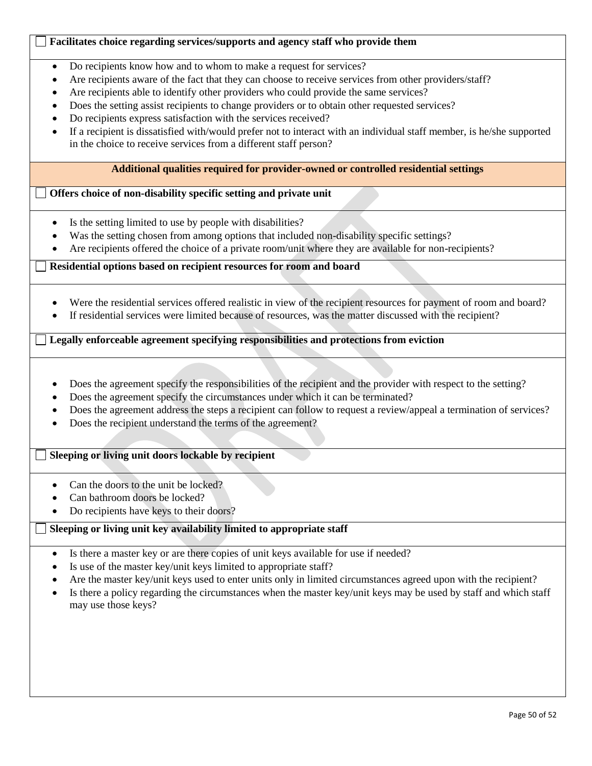### **Facilitates choice regarding services/supports and agency staff who provide them**

- Do recipients know how and to whom to make a request for services?
- Are recipients aware of the fact that they can choose to receive services from other providers/staff?
- Are recipients able to identify other providers who could provide the same services?
- Does the setting assist recipients to change providers or to obtain other requested services?
- Do recipients express satisfaction with the services received?
- If a recipient is dissatisfied with/would prefer not to interact with an individual staff member, is he/she supported in the choice to receive services from a different staff person?

### **Additional qualities required for provider-owned or controlled residential settings**

### **Offers choice of non-disability specific setting and private unit**

- Is the setting limited to use by people with disabilities?
- Was the setting chosen from among options that included non-disability specific settings?
- Are recipients offered the choice of a private room/unit where they are available for non-recipients?

**Residential options based on recipient resources for room and board**

- Were the residential services offered realistic in view of the recipient resources for payment of room and board?
- If residential services were limited because of resources, was the matter discussed with the recipient?

**Legally enforceable agreement specifying responsibilities and protections from eviction**

- Does the agreement specify the responsibilities of the recipient and the provider with respect to the setting?
- Does the agreement specify the circumstances under which it can be terminated?
- Does the agreement address the steps a recipient can follow to request a review/appeal a termination of services?
- Does the recipient understand the terms of the agreement?

### **Sleeping or living unit doors lockable by recipient**

- Can the doors to the unit be locked?
- Can bathroom doors be locked?
- Do recipients have keys to their doors?

### **Sleeping or living unit key availability limited to appropriate staff**

- Is there a master key or are there copies of unit keys available for use if needed?
- Is use of the master key/unit keys limited to appropriate staff?
- Are the master key/unit keys used to enter units only in limited circumstances agreed upon with the recipient?
- Is there a policy regarding the circumstances when the master key/unit keys may be used by staff and which staff may use those keys?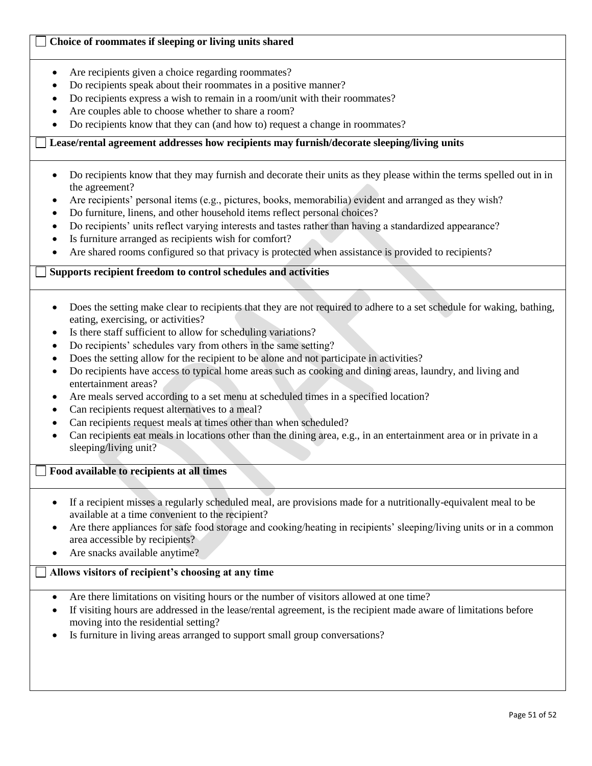### **Choice of roommates if sleeping or living units shared**

- Are recipients given a choice regarding roommates?
- Do recipients speak about their roommates in a positive manner?
- Do recipients express a wish to remain in a room/unit with their roommates?
- Are couples able to choose whether to share a room?
- Do recipients know that they can (and how to) request a change in roommates?

### **Lease/rental agreement addresses how recipients may furnish/decorate sleeping/living units**

- Do recipients know that they may furnish and decorate their units as they please within the terms spelled out in in the agreement?
- Are recipients' personal items (e.g., pictures, books, memorabilia) evident and arranged as they wish?
- Do furniture, linens, and other household items reflect personal choices?
- Do recipients' units reflect varying interests and tastes rather than having a standardized appearance?
- Is furniture arranged as recipients wish for comfort?
- Are shared rooms configured so that privacy is protected when assistance is provided to recipients?

## **Supports recipient freedom to control schedules and activities**

- Does the setting make clear to recipients that they are not required to adhere to a set schedule for waking, bathing, eating, exercising, or activities?
- Is there staff sufficient to allow for scheduling variations?
- Do recipients' schedules vary from others in the same setting?
- Does the setting allow for the recipient to be alone and not participate in activities?
- Do recipients have access to typical home areas such as cooking and dining areas, laundry, and living and entertainment areas?
- Are meals served according to a set menu at scheduled times in a specified location?
- Can recipients request alternatives to a meal?
- Can recipients request meals at times other than when scheduled?
- Can recipients eat meals in locations other than the dining area, e.g., in an entertainment area or in private in a sleeping/living unit?

### **Food available to recipients at all times**

- If a recipient misses a regularly scheduled meal, are provisions made for a nutritionally-equivalent meal to be available at a time convenient to the recipient?
- Are there appliances for safe food storage and cooking/heating in recipients' sleeping/living units or in a common area accessible by recipients?
- Are snacks available anytime?

### **Allows visitors of recipient's choosing at any time**

- Are there limitations on visiting hours or the number of visitors allowed at one time?
- If visiting hours are addressed in the lease/rental agreement, is the recipient made aware of limitations before moving into the residential setting?
- Is furniture in living areas arranged to support small group conversations?